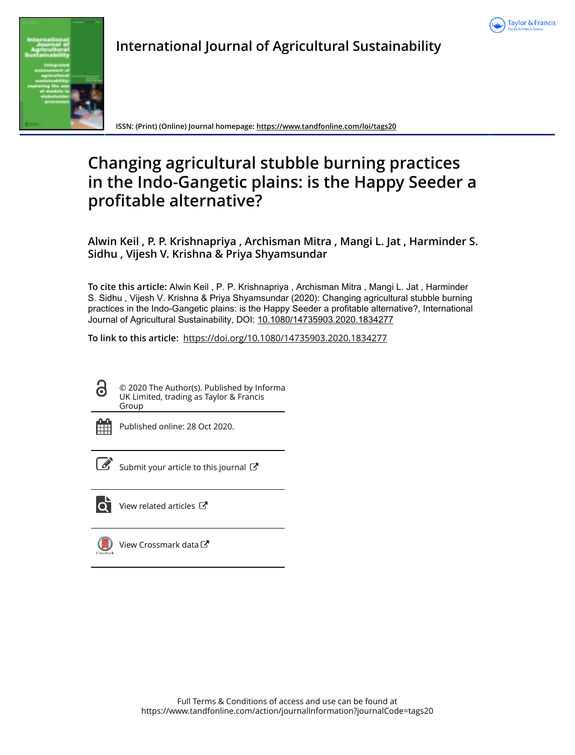

# **International Journal of Agricultural Sustainability**



**ISSN: (Print) (Online) Journal homepage:<https://www.tandfonline.com/loi/tags20>**

# **Changing agricultural stubble burning practices in the Indo-Gangetic plains: is the Happy Seeder a profitable alternative?**

**Alwin Keil , P. P. Krishnapriya , Archisman Mitra , Mangi L. Jat , Harminder S. Sidhu , Vijesh V. Krishna & Priya Shyamsundar**

**To cite this article:** Alwin Keil , P. P. Krishnapriya , Archisman Mitra , Mangi L. Jat , Harminder S. Sidhu , Vijesh V. Krishna & Priya Shyamsundar (2020): Changing agricultural stubble burning practices in the Indo-Gangetic plains: is the Happy Seeder a profitable alternative?, International Journal of Agricultural Sustainability, DOI: [10.1080/14735903.2020.1834277](https://www.tandfonline.com/action/showCitFormats?doi=10.1080/14735903.2020.1834277)

**To link to this article:** <https://doi.org/10.1080/14735903.2020.1834277>

© 2020 The Author(s). Published by Informa UK Limited, trading as Taylor & Francis Group



ര

Published online: 28 Oct 2020.

[Submit your article to this journal](https://www.tandfonline.com/action/authorSubmission?journalCode=tags20&show=instructions)  $\mathbb{Z}$ 



[View related articles](https://www.tandfonline.com/doi/mlt/10.1080/14735903.2020.1834277)  $\mathbb{Z}$ 



[View Crossmark data](http://crossmark.crossref.org/dialog/?doi=10.1080/14735903.2020.1834277&domain=pdf&date_stamp=2020-10-28) C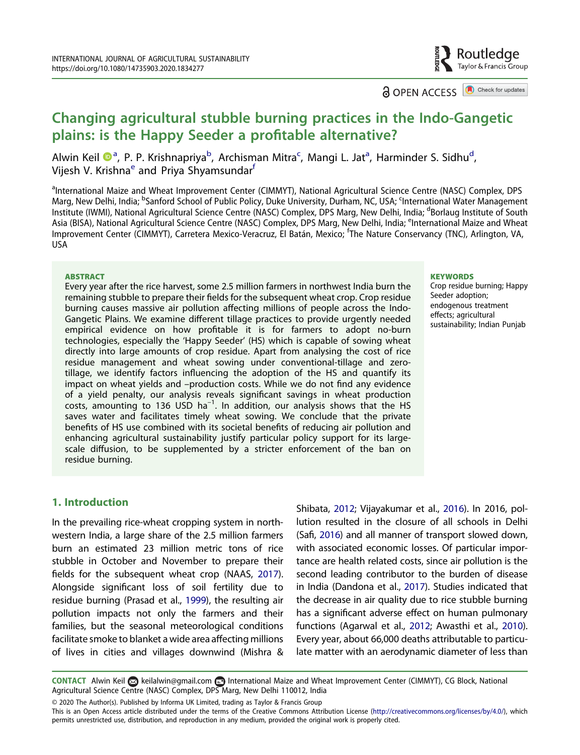## Routledae Taylor & Francis Group

**a** OPEN ACCESS **D** Check for updates

## Changing agricultural stubble burning practices in the Indo-Gangetic plains: is the Happy Seeder a profitable alternative?

Alwin Keil �a, P. P. Krishnapriya<sup>b</sup>, Archisman Mitra<sup>c</sup>, Mangi L. Jat<sup>a</sup>, Harminder S. Sidhu<sup>d</sup>, Vijesh V. Krishna<sup>e</sup> and Priya Shyamsundar<sup>f</sup>

<sup>a</sup>International Maize and Wheat Improvement Center (CIMMYT), National Agricultural Science Centre (NASC) Complex, DPS Marg, New Delhi, India; <sup>b</sup>Sanford School of Public Policy, Duke University, Durham, NC, USA; <sup>c</sup>International Water Management Institute (IWMI), National Agricultural Science Centre (NASC) Complex, DPS Marg, New Delhi, India; <sup>d</sup>Borlaug Institute of South Asia (BISA), National Agricultural Science Centre (NASC) Complex, DPS Marg, New Delhi, India; <sup>e</sup>International Maize and Wheat Improvement Center (CIMMYT), Carretera Mexico-Veracruz, El Batán, Mexico; <sup>f</sup>The Nature Conservancy (TNC), Arlington, VA, USA

#### **ABSTRACT**

Every year after the rice harvest, some 2.5 million farmers in northwest India burn the remaining stubble to prepare their fields for the subsequent wheat crop. Crop residue burning causes massive air pollution affecting millions of people across the Indo-Gangetic Plains. We examine different tillage practices to provide urgently needed empirical evidence on how profitable it is for farmers to adopt no-burn technologies, especially the 'Happy Seeder' (HS) which is capable of sowing wheat directly into large amounts of crop residue. Apart from analysing the cost of rice residue management and wheat sowing under conventional-tillage and zerotillage, we identify factors influencing the adoption of the HS and quantify its impact on wheat yields and –production costs. While we do not find any evidence of a yield penalty, our analysis reveals significant savings in wheat production costs, amounting to 136 USD ha–<sup>1</sup> . In addition, our analysis shows that the HS saves water and facilitates timely wheat sowing. We conclude that the private benefits of HS use combined with its societal benefits of reducing air pollution and enhancing agricultural sustainability justify particular policy support for its largescale diffusion, to be supplemented by a stricter enforcement of the ban on residue burning.

#### **KEYWORDS**

Crop residue burning; Happy Seeder adoption; endogenous treatment effects; agricultural sustainability; Indian Punjab

## 1. Introduction

<span id="page-1-4"></span><span id="page-1-3"></span>In the prevailing rice-wheat cropping system in northwestern India, a large share of the 2.5 million farmers burn an estimated 23 million metric tons of rice stubble in October and November to prepare their fields for the subsequent wheat crop (NAAS, [2017](#page-24-0)). Alongside significant loss of soil fertility due to residue burning (Prasad et al., [1999](#page-24-1)), the resulting air pollution impacts not only the farmers and their families, but the seasonal meteorological conditions facilitate smoke to blanket a wide area affecting millions of lives in cities and villages downwind (Mishra & <span id="page-1-5"></span><span id="page-1-2"></span><span id="page-1-1"></span><span id="page-1-0"></span>Shibata, [2012;](#page-23-0) Vijayakumar et al., [2016\)](#page-24-2). In 2016, pollution resulted in the closure of all schools in Delhi (Safi, [2016](#page-24-3)) and all manner of transport slowed down, with associated economic losses. Of particular importance are health related costs, since air pollution is the second leading contributor to the burden of disease in India (Dandona et al., [2017\)](#page-22-0). Studies indicated that the decrease in air quality due to rice stubble burning has a significant adverse effect on human pulmonary functions (Agarwal et al., [2012](#page-22-1); Awasthi et al., [2010](#page-22-2)). Every year, about 66,000 deaths attributable to particulate matter with an aerodynamic diameter of less than

CONTACT Alwin Keil & [keilalwin@gmail.com](mailto:keilalwin@gmail.com) international Maize and Wheat Improvement Center (CIMMYT), CG Block, National Agricultural Science Centre (NASC) Complex, DPS Marg, New Delhi 110012, India

© 2020 The Author(s). Published by Informa UK Limited, trading as Taylor & Francis Group

This is an Open Access article distributed under the terms of the Creative Commons Attribution License ([http://creativecommons.org/licenses/by/4.0/\)](http://creativecommons.org/licenses/by/4.0/), which permits unrestricted use, distribution, and reproduction in any medium, provided the original work is properly cited.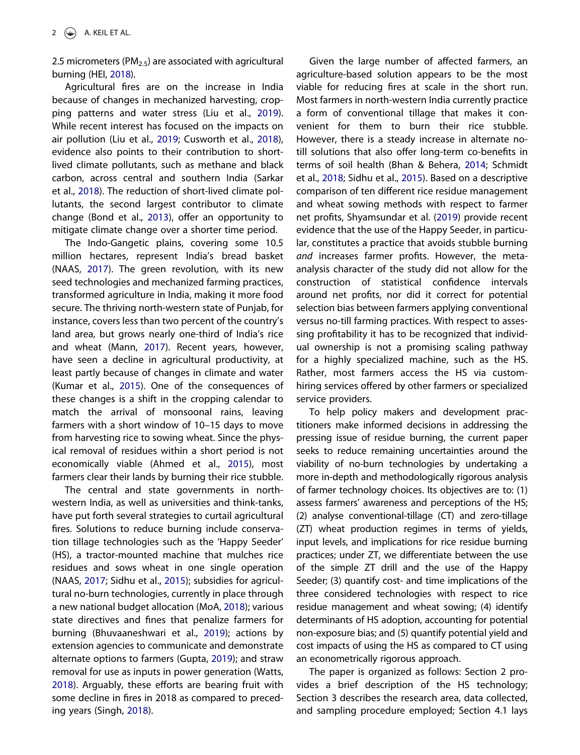<span id="page-2-5"></span>2.5 micrometers (PM $_{2.5}$ ) are associated with agricultural burning (HEI, [2018\)](#page-23-1).

<span id="page-2-7"></span>Agricultural fires are on the increase in India because of changes in mechanized harvesting, cropping patterns and water stress (Liu et al., [2019](#page-23-2)). While recent interest has focused on the impacts on air pollution (Liu et al., [2019;](#page-23-2) Cusworth et al., [2018](#page-22-3)), evidence also points to their contribution to shortlived climate pollutants, such as methane and black carbon, across central and southern India (Sarkar et al., [2018\)](#page-24-4). The reduction of short-lived climate pollutants, the second largest contributor to climate change (Bond et al., [2013\)](#page-22-4), offer an opportunity to mitigate climate change over a shorter time period.

<span id="page-2-10"></span><span id="page-2-8"></span><span id="page-2-3"></span>The Indo-Gangetic plains, covering some 10.5 million hectares, represent India's bread basket (NAAS, [2017](#page-24-0)). The green revolution, with its new seed technologies and mechanized farming practices, transformed agriculture in India, making it more food secure. The thriving north-western state of Punjab, for instance, covers less than two percent of the country's land area, but grows nearly one-third of India's rice and wheat (Mann, [2017\)](#page-23-3). Recent years, however, have seen a decline in agricultural productivity, at least partly because of changes in climate and water (Kumar et al., [2015\)](#page-23-4). One of the consequences of these changes is a shift in the cropping calendar to match the arrival of monsoonal rains, leaving farmers with a short window of 10–15 days to move from harvesting rice to sowing wheat. Since the physical removal of residues within a short period is not economically viable (Ahmed et al., [2015](#page-22-5)), most farmers clear their lands by burning their rice stubble.

<span id="page-2-14"></span><span id="page-2-13"></span><span id="page-2-9"></span><span id="page-2-6"></span><span id="page-2-4"></span><span id="page-2-2"></span><span id="page-2-0"></span>The central and state governments in northwestern India, as well as universities and think-tanks, have put forth several strategies to curtail agricultural fires. Solutions to reduce burning include conservation tillage technologies such as the 'Happy Seeder' (HS), a tractor-mounted machine that mulches rice residues and sows wheat in one single operation (NAAS, [2017;](#page-24-0) Sidhu et al., [2015](#page-24-5)); subsidies for agricultural no-burn technologies, currently in place through a new national budget allocation (MoA, [2018](#page-23-5)); various state directives and fines that penalize farmers for burning (Bhuvaaneshwari et al., [2019\)](#page-22-6); actions by extension agencies to communicate and demonstrate alternate options to farmers (Gupta, [2019\)](#page-23-6); and straw removal for use as inputs in power generation (Watts, [2018\)](#page-24-6). Arguably, these efforts are bearing fruit with some decline in fires in 2018 as compared to preceding years (Singh, [2018\)](#page-24-7).

<span id="page-2-12"></span><span id="page-2-11"></span><span id="page-2-1"></span>Given the large number of affected farmers, an agriculture-based solution appears to be the most viable for reducing fires at scale in the short run. Most farmers in north-western India currently practice a form of conventional tillage that makes it convenient for them to burn their rice stubble. However, there is a steady increase in alternate notill solutions that also offer long-term co-benefits in terms of soil health (Bhan & Behera, [2014;](#page-22-7) Schmidt et al., [2018](#page-24-8); Sidhu et al., [2015\)](#page-24-5). Based on a descriptive comparison of ten different rice residue management and wheat sowing methods with respect to farmer net profits, Shyamsundar et al. [\(2019\)](#page-24-9) provide recent evidence that the use of the Happy Seeder, in particular, constitutes a practice that avoids stubble burning *and* increases farmer profits. However, the metaanalysis character of the study did not allow for the construction of statistical confidence intervals around net profits, nor did it correct for potential selection bias between farmers applying conventional versus no-till farming practices. With respect to assessing profitability it has to be recognized that individual ownership is not a promising scaling pathway for a highly specialized machine, such as the HS. Rather, most farmers access the HS via customhiring services offered by other farmers or specialized service providers.

To help policy makers and development practitioners make informed decisions in addressing the pressing issue of residue burning, the current paper seeks to reduce remaining uncertainties around the viability of no-burn technologies by undertaking a more in-depth and methodologically rigorous analysis of farmer technology choices. Its objectives are to: (1) assess farmers' awareness and perceptions of the HS; (2) analyse conventional-tillage (CT) and zero-tillage (ZT) wheat production regimes in terms of yields, input levels, and implications for rice residue burning practices; under ZT, we differentiate between the use of the simple ZT drill and the use of the Happy Seeder; (3) quantify cost- and time implications of the three considered technologies with respect to rice residue management and wheat sowing; (4) identify determinants of HS adoption, accounting for potential non-exposure bias; and (5) quantify potential yield and cost impacts of using the HS as compared to CT using an econometrically rigorous approach.

The paper is organized as follows: Section 2 provides a brief description of the HS technology; Section 3 describes the research area, data collected, and sampling procedure employed; Section 4.1 lays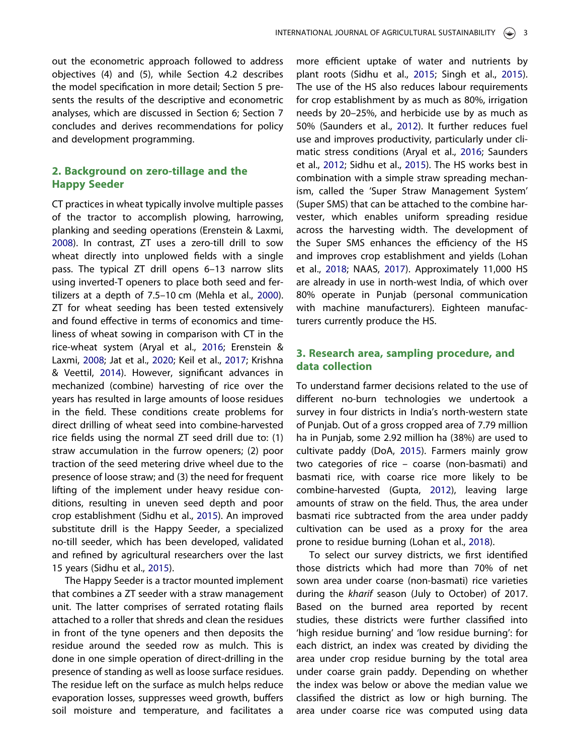out the econometric approach followed to address objectives (4) and (5), while Section 4.2 describes the model specification in more detail; Section 5 presents the results of the descriptive and econometric analyses, which are discussed in Section 6; Section 7 concludes and derives recommendations for policy and development programming.

## 2. Background on zero-tillage and the Happy Seeder

<span id="page-3-4"></span><span id="page-3-1"></span>CT practices in wheat typically involve multiple passes of the tractor to accomplish plowing, harrowing, planking and seeding operations (Erenstein & Laxmi, [2008\)](#page-23-7). In contrast, ZT uses a zero-till drill to sow wheat directly into unplowed fields with a single pass. The typical ZT drill opens 6–13 narrow slits using inverted-T openers to place both seed and fertilizers at a depth of 7.5–10 cm (Mehla et al., [2000](#page-23-8)). ZT for wheat seeding has been tested extensively and found effective in terms of economics and timeliness of wheat sowing in comparison with CT in the rice-wheat system (Aryal et al., [2016](#page-22-8); Erenstein & Laxmi, [2008](#page-23-7); Jat et al., [2020](#page-23-9); Keil et al., [2017](#page-23-10); Krishna & Veettil, [2014\)](#page-23-11). However, significant advances in mechanized (combine) harvesting of rice over the years has resulted in large amounts of loose residues in the field. These conditions create problems for direct drilling of wheat seed into combine-harvested rice fields using the normal ZT seed drill due to: (1) straw accumulation in the furrow openers; (2) poor traction of the seed metering drive wheel due to the presence of loose straw; and (3) the need for frequent lifting of the implement under heavy residue conditions, resulting in uneven seed depth and poor crop establishment (Sidhu et al., [2015](#page-24-5)). An improved substitute drill is the Happy Seeder, a specialized no-till seeder, which has been developed, validated and refined by agricultural researchers over the last 15 years (Sidhu et al., [2015](#page-24-5)).

The Happy Seeder is a tractor mounted implement that combines a ZT seeder with a straw management unit. The latter comprises of serrated rotating flails attached to a roller that shreds and clean the residues in front of the tyne openers and then deposits the residue around the seeded row as mulch. This is done in one simple operation of direct-drilling in the presence of standing as well as loose surface residues. The residue left on the surface as mulch helps reduce evaporation losses, suppresses weed growth, buffers soil moisture and temperature, and facilitates a

<span id="page-3-6"></span><span id="page-3-5"></span>more efficient uptake of water and nutrients by plant roots (Sidhu et al., [2015;](#page-24-5) Singh et al., [2015](#page-24-10)). The use of the HS also reduces labour requirements for crop establishment by as much as 80%, irrigation needs by 20–25%, and herbicide use by as much as 50% (Saunders et al., [2012](#page-24-11)). It further reduces fuel use and improves productivity, particularly under climatic stress conditions (Aryal et al., [2016](#page-22-8); Saunders et al., [2012](#page-24-11); Sidhu et al., [2015\)](#page-24-5). The HS works best in combination with a simple straw spreading mechanism, called the 'Super Straw Management System' (Super SMS) that can be attached to the combine harvester, which enables uniform spreading residue across the harvesting width. The development of the Super SMS enhances the efficiency of the HS and improves crop establishment and yields (Lohan et al., [2018](#page-23-12); NAAS, [2017\)](#page-24-0). Approximately 11,000 HS are already in use in north-west India, of which over 80% operate in Punjab (personal communication with machine manufacturers). Eighteen manufacturers currently produce the HS.

## 3. Research area, sampling procedure, and data collection

<span id="page-3-0"></span>To understand farmer decisions related to the use of different no-burn technologies we undertook a survey in four districts in India's north-western state of Punjab. Out of a gross cropped area of 7.79 million ha in Punjab, some 2.92 million ha (38%) are used to cultivate paddy (DoA, [2015](#page-22-9)). Farmers mainly grow two categories of rice – coarse (non-basmati) and basmati rice, with coarse rice more likely to be combine-harvested (Gupta, [2012\)](#page-23-13), leaving large amounts of straw on the field. Thus, the area under basmati rice subtracted from the area under paddy cultivation can be used as a proxy for the area prone to residue burning (Lohan et al., [2018\)](#page-23-12).

<span id="page-3-3"></span><span id="page-3-2"></span>To select our survey districts, we first identified those districts which had more than 70% of net sown area under coarse (non-basmati) rice varieties during the *kharif* season (July to October) of 2017. Based on the burned area reported by recent studies, these districts were further classified into 'high residue burning' and 'low residue burning': for each district, an index was created by dividing the area under crop residue burning by the total area under coarse grain paddy. Depending on whether the index was below or above the median value we classified the district as low or high burning. The area under coarse rice was computed using data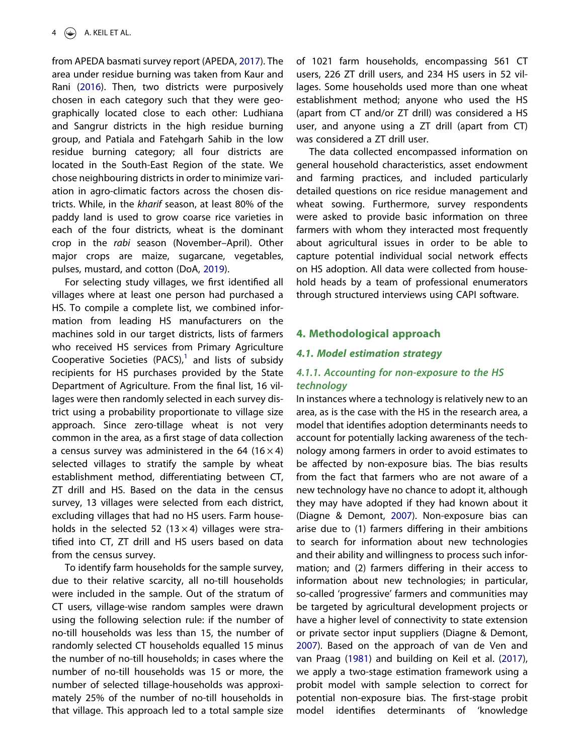<span id="page-4-3"></span><span id="page-4-0"></span>from APEDA basmati survey report (APEDA, [2017](#page-22-10)). The area under residue burning was taken from Kaur and Rani ([2016](#page-23-14)). Then, two districts were purposively chosen in each category such that they were geographically located close to each other: Ludhiana and Sangrur districts in the high residue burning group, and Patiala and Fatehgarh Sahib in the low residue burning category; all four districts are located in the South-East Region of the state. We chose neighbouring districts in order to minimize variation in agro-climatic factors across the chosen districts. While, in the *kharif* season, at least 80% of the paddy land is used to grow coarse rice varieties in each of the four districts, wheat is the dominant crop in the *rabi* season (November–April). Other major crops are maize, sugarcane, vegetables, pulses, mustard, and cotton (DoA, [2019](#page-23-15)).

<span id="page-4-2"></span>For selecting study villages, we first identified all villages where at least one person had purchased a HS. To compile a complete list, we combined information from leading HS manufacturers on the machines sold in our target districts, lists of farmers who received HS services from Primary Agriculture Cooperative Societies (PACS), $1$  [and lists of subsidy](#page-21-0) recipients for HS purchases provided by the State Department of Agriculture. From the final list, 16 villages were then randomly selected in each survey district using a probability proportionate to village size approach. Since zero-tillage wheat is not very common in the area, as a first stage of data collection a census survey was administered in the 64 (16  $\times$  4) selected villages to stratify the sample by wheat establishment method, differentiating between CT, ZT drill and HS. Based on the data in the census survey, 13 villages were selected from each district, excluding villages that had no HS users. Farm households in the selected 52 (13  $\times$  4) villages were stratified into CT, ZT drill and HS users based on data from the census survey.

To identify farm households for the sample survey, due to their relative scarcity, all no-till households were included in the sample. Out of the stratum of CT users, village-wise random samples were drawn using the following selection rule: if the number of no-till households was less than 15, the number of randomly selected CT households equalled 15 minus the number of no-till households; in cases where the number of no-till households was 15 or more, the number of selected tillage-households was approximately 25% of the number of no-till households in that village. This approach led to a total sample size of 1021 farm households, encompassing 561 CT users, 226 ZT drill users, and 234 HS users in 52 villages. Some households used more than one wheat establishment method; anyone who used the HS (apart from CT and/or ZT drill) was considered a HS user, and anyone using a ZT drill (apart from CT) was considered a ZT drill user.

The data collected encompassed information on general household characteristics, asset endowment and farming practices, and included particularly detailed questions on rice residue management and wheat sowing. Furthermore, survey respondents were asked to provide basic information on three farmers with whom they interacted most frequently about agricultural issues in order to be able to capture potential individual social network effects on HS adoption. All data were collected from household heads by a team of professional enumerators through structured interviews using CAPI software.

## 4. Methodological approach

#### 4.1. Model estimation strategy

## 4.1.1. Accounting for non-exposure to the HS technology

<span id="page-4-4"></span><span id="page-4-1"></span>In instances where a technology is relatively new to an area, as is the case with the HS in the research area, a model that identifies adoption determinants needs to account for potentially lacking awareness of the technology among farmers in order to avoid estimates to be affected by non-exposure bias. The bias results from the fact that farmers who are not aware of a new technology have no chance to adopt it, although they may have adopted if they had known about it (Diagne & Demont, [2007\)](#page-22-11). Non-exposure bias can arise due to (1) farmers differing in their ambitions to search for information about new technologies and their ability and willingness to process such information; and (2) farmers differing in their access to information about new technologies; in particular, so-called 'progressive' farmers and communities may be targeted by agricultural development projects or have a higher level of connectivity to state extension or private sector input suppliers (Diagne & Demont, [2007](#page-22-11)). Based on the approach of van de Ven and van Praag [\(1981\)](#page-24-12) and building on Keil et al. ([2017](#page-23-10)), we apply a two-stage estimation framework using a probit model with sample selection to correct for potential non-exposure bias. The first-stage probit model identifies determinants of 'knowledge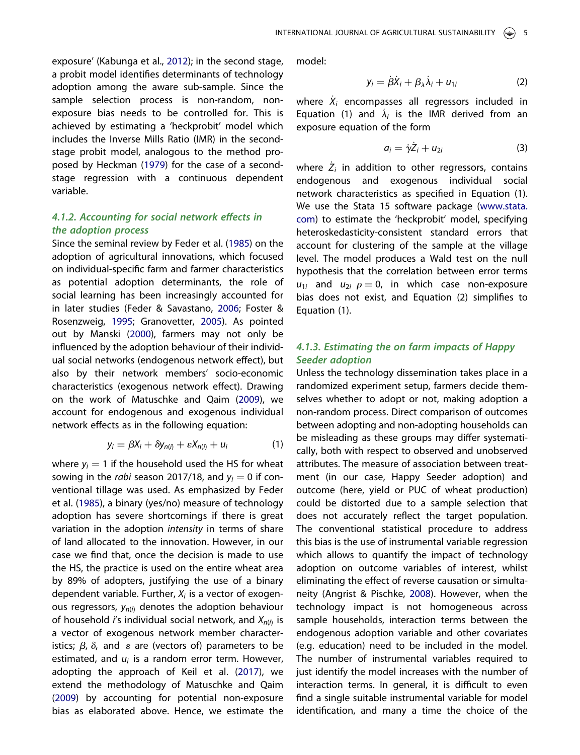<span id="page-5-5"></span>exposure' (Kabunga et al., [2012\)](#page-23-16); in the second stage, a probit model identifies determinants of technology adoption among the aware sub-sample. Since the sample selection process is non-random, nonexposure bias needs to be controlled for. This is achieved by estimating a 'heckprobit' model which includes the Inverse Mills Ratio (IMR) in the secondstage probit model, analogous to the method proposed by Heckman ([1979\)](#page-23-17) for the case of a secondstage regression with a continuous dependent variable.

## <span id="page-5-4"></span>4.1.2. Accounting for social network effects in the adoption process

<span id="page-5-6"></span><span id="page-5-3"></span><span id="page-5-2"></span>Since the seminal review by Feder et al. [\(1985\)](#page-23-18) on the adoption of agricultural innovations, which focused on individual-specific farm and farmer characteristics as potential adoption determinants, the role of social learning has been increasingly accounted for in later studies (Feder & Savastano, [2006;](#page-23-19) Foster & Rosenzweig, [1995;](#page-23-20) Granovetter, [2005](#page-23-21)). As pointed out by Manski ([2000](#page-23-22)), farmers may not only be influenced by the adoption behaviour of their individual social networks (endogenous network effect), but also by their network members' socio-economic characteristics (exogenous network effect). Drawing on the work of Matuschke and Qaim [\(2009\)](#page-23-23), we account for endogenous and exogenous individual network effects as in the following equation:

$$
y_i = \beta X_i + \delta y_{n(i)} + \varepsilon X_{n(i)} + u_i \tag{1}
$$

<span id="page-5-7"></span><span id="page-5-1"></span>where  $y_i = 1$  if the household used the HS for wheat sowing in the *rabi* season 2017/18, and  $y_i = 0$  if conventional tillage was used. As emphasized by Feder et al. ([1985](#page-23-18)), a binary (yes/no) measure of technology adoption has severe shortcomings if there is great variation in the adoption *intensity* in terms of share of land allocated to the innovation. However, in our case we find that, once the decision is made to use the HS, the practice is used on the entire wheat area by 89% of adopters, justifying the use of a binary dependent variable. Further, *X<sup>i</sup>* is a vector of exogenous regressors, *yn*(*i*) denotes the adoption behaviour of household *i*'s individual social network, and *Xn*(*i*) is a vector of exogenous network member characteristics;  $\beta$ ,  $\delta$ , and  $\epsilon$  are (vectors of) parameters to be estimated, and *u<sup>i</sup>* is a random error term. However, adopting the approach of Keil et al. ([2017](#page-23-10)), we extend the methodology of Matuschke and Qaim ([2009](#page-23-23)) by accounting for potential non-exposure bias as elaborated above. Hence, we estimate the

model:

$$
y_i = \dot{\beta}\dot{X}_i + \beta_{\lambda}\dot{\lambda}_i + u_{1i} \tag{2}
$$

where  $\dot{X}_i$  encompasses all regressors included in Equation (1) and  $\lambda_i$  is the IMR derived from an exposure equation of the form

$$
a_i = \dot{\gamma} \dot{Z}_i + u_{2i} \tag{3}
$$

where  $\dot{Z}_i$  in addition to other regressors, contains endogenous and exogenous individual social network characteristics as specified in Equation (1). We use the Stata 15 software package ([www.stata.](http://www.stata.com) [com](http://www.stata.com)) to estimate the 'heckprobit' model, specifying heteroskedasticity-consistent standard errors that account for clustering of the sample at the village level. The model produces a Wald test on the null hypothesis that the correlation between error terms  $u_{1i}$  and  $u_{2i}$   $\rho = 0$ , in which case non-exposure bias does not exist, and Equation (2) simplifies to Equation (1).

### 4.1.3. Estimating the on farm impacts of Happy Seeder adoption

<span id="page-5-0"></span>Unless the technology dissemination takes place in a randomized experiment setup, farmers decide themselves whether to adopt or not, making adoption a non-random process. Direct comparison of outcomes between adopting and non-adopting households can be misleading as these groups may differ systematically, both with respect to observed and unobserved attributes. The measure of association between treatment (in our case, Happy Seeder adoption) and outcome (here, yield or PUC of wheat production) could be distorted due to a sample selection that does not accurately reflect the target population. The conventional statistical procedure to address this bias is the use of instrumental variable regression which allows to quantify the impact of technology adoption on outcome variables of interest, whilst eliminating the effect of reverse causation or simultaneity (Angrist & Pischke, [2008](#page-22-12)). However, when the technology impact is not homogeneous across sample households, interaction terms between the endogenous adoption variable and other covariates (e.g. education) need to be included in the model. The number of instrumental variables required to just identify the model increases with the number of interaction terms. In general, it is difficult to even find a single suitable instrumental variable for model identification, and many a time the choice of the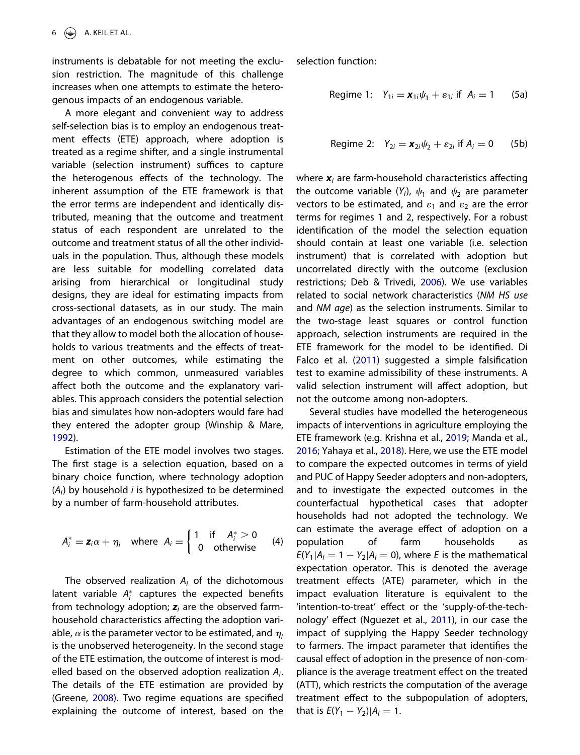instruments is debatable for not meeting the exclusion restriction. The magnitude of this challenge increases when one attempts to estimate the heterogenous impacts of an endogenous variable.

A more elegant and convenient way to address self-selection bias is to employ an endogenous treatment effects (ETE) approach, where adoption is treated as a regime shifter, and a single instrumental variable (selection instrument) suffices to capture the heterogenous effects of the technology. The inherent assumption of the ETE framework is that the error terms are independent and identically distributed, meaning that the outcome and treatment status of each respondent are unrelated to the outcome and treatment status of all the other individuals in the population. Thus, although these models are less suitable for modelling correlated data arising from hierarchical or longitudinal study designs, they are ideal for estimating impacts from cross-sectional datasets, as in our study. The main advantages of an endogenous switching model are that they allow to model both the allocation of households to various treatments and the effects of treatment on other outcomes, while estimating the degree to which common, unmeasured variables affect both the outcome and the explanatory variables. This approach considers the potential selection bias and simulates how non-adopters would fare had they entered the adopter group (Winship & Mare, [1992\)](#page-24-13).

<span id="page-6-5"></span>Estimation of the ETE model involves two stages. The first stage is a selection equation, based on a binary choice function, where technology adoption (*Ai* ) by household *i* is hypothesized to be determined by a number of farm-household attributes.

$$
A_i^* = \mathbf{z}_i \alpha + \eta_i \quad \text{where} \quad A_i = \begin{cases} 1 & \text{if} \quad A_i^* > 0 \\ 0 & \text{otherwise} \end{cases} \tag{4}
$$

<span id="page-6-2"></span>The observed realization *A<sup>i</sup>* of the dichotomous latent variable  $A_i^*$  captures the expected benefits from technology adoption; z*<sup>i</sup>* are the observed farmhousehold characteristics affecting the adoption variable,  $\alpha$  is the parameter vector to be estimated, and  $\eta_i$ is the unobserved heterogeneity. In the second stage of the ETE estimation, the outcome of interest is modelled based on the observed adoption realization *A<sup>i</sup>* . The details of the ETE estimation are provided by (Greene, [2008\)](#page-23-24). Two regime equations are specified explaining the outcome of interest, based on the selection function:

$$
Regime 1: Y_{1i} = \mathbf{x}_{1i}\psi_1 + \varepsilon_{1i} \text{ if } A_i = 1 \qquad (5a)
$$

$$
Regime 2: Y_{2i} = \mathbf{x}_{2i} \psi_2 + \varepsilon_{2i} \text{ if } A_i = 0 \qquad (5b)
$$

<span id="page-6-0"></span>where x*<sup>i</sup>* are farm-household characteristics affecting the outcome variable (Y<sub>i</sub>),  $\psi_1$  and  $\psi_2$  are parameter vectors to be estimated, and  $\varepsilon_1$  and  $\varepsilon_2$  are the error terms for regimes 1 and 2, respectively. For a robust identification of the model the selection equation should contain at least one variable (i.e. selection instrument) that is correlated with adoption but uncorrelated directly with the outcome (exclusion restrictions; Deb & Trivedi, [2006](#page-22-13)). We use variables related to social network characteristics (*NM HS use* and *NM age*) as the selection instruments. Similar to the two-stage least squares or control function approach, selection instruments are required in the ETE framework for the model to be identified. Di Falco et al. ([2011](#page-22-14)) suggested a simple falsification test to examine admissibility of these instruments. A valid selection instrument will affect adoption, but not the outcome among non-adopters.

<span id="page-6-6"></span><span id="page-6-4"></span><span id="page-6-3"></span><span id="page-6-1"></span>Several studies have modelled the heterogeneous impacts of interventions in agriculture employing the ETE framework (e.g. Krishna et al., [2019](#page-23-25); Manda et al., [2016](#page-23-26); Yahaya et al., [2018\)](#page-24-14). Here, we use the ETE model to compare the expected outcomes in terms of yield and PUC of Happy Seeder adopters and non-adopters, and to investigate the expected outcomes in the counterfactual hypothetical cases that adopter households had not adopted the technology. We can estimate the average effect of adoption on a population of farm households as  $E(Y_1|A_i = 1 - Y_2|A_i = 0)$ , where *E* is the mathematical expectation operator. This is denoted the average treatment effects (ATE) parameter, which in the impact evaluation literature is equivalent to the 'intention-to-treat' effect or the 'supply-of-the-technology' effect (Nguezet et al., [2011\)](#page-24-15), in our case the impact of supplying the Happy Seeder technology to farmers. The impact parameter that identifies the causal effect of adoption in the presence of non-compliance is the average treatment effect on the treated (ATT), which restricts the computation of the average treatment effect to the subpopulation of adopters, that is  $E(Y_1 - Y_2)|A_i = 1$ .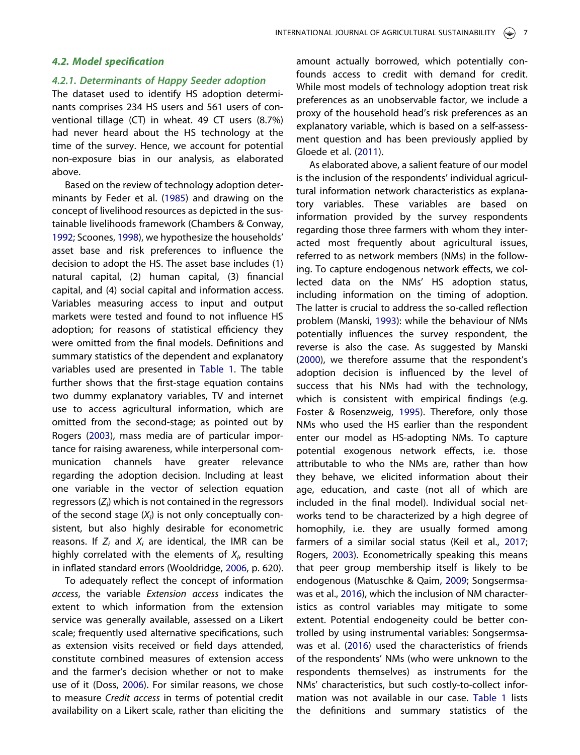#### 4.2. Model specification

#### 4.2.1. Determinants of Happy Seeder adoption

The dataset used to identify HS adoption determinants comprises 234 HS users and 561 users of conventional tillage (CT) in wheat. 49 CT users (8.7%) had never heard about the HS technology at the time of the survey. Hence, we account for potential non-exposure bias in our analysis, as elaborated above.

<span id="page-7-5"></span><span id="page-7-0"></span>Based on the review of technology adoption determinants by Feder et al. [\(1985](#page-23-18)) and drawing on the concept of livelihood resources as depicted in the sustainable livelihoods framework (Chambers & Conway, [1992;](#page-22-15) Scoones, [1998](#page-24-16)), we hypothesize the households' asset base and risk preferences to influence the decision to adopt the HS. The asset base includes (1) natural capital, (2) human capital, (3) financial capital, and (4) social capital and information access. Variables measuring access to input and output markets were tested and found to not influence HS adoption; for reasons of statistical efficiency they were omitted from the final models. Definitions and summary statistics of the dependent and explanatory variables used are presented in [Table 1](#page-8-0). The table further shows that the first-stage equation contains two dummy explanatory variables, TV and internet use to access agricultural information, which are omitted from the second-stage; as pointed out by Rogers [\(2003\)](#page-24-17), mass media are of particular importance for raising awareness, while interpersonal communication channels have greater relevance regarding the adoption decision. Including at least one variable in the vector of selection equation regressors (*Z<sup>i</sup>* ) which is not contained in the regressors of the second stage (*X<sup>i</sup>* ) is not only conceptually consistent, but also highly desirable for econometric reasons. If *Z<sup>i</sup>* and *X<sup>i</sup>* are identical, the IMR can be highly correlated with the elements of *X<sup>i</sup>* , resulting in inflated standard errors (Wooldridge, [2006](#page-24-18), p. 620).

<span id="page-7-7"></span><span id="page-7-6"></span><span id="page-7-4"></span><span id="page-7-2"></span>To adequately reflect the concept of information *access*, the variable *Extension access* indicates the extent to which information from the extension service was generally available, assessed on a Likert scale; frequently used alternative specifications, such as extension visits received or field days attended, constitute combined measures of extension access and the farmer's decision whether or not to make use of it (Doss, [2006\)](#page-23-27). For similar reasons, we chose to measure *Credit access* in terms of potential credit availability on a Likert scale, rather than eliciting the amount actually borrowed, which potentially confounds access to credit with demand for credit. While most models of technology adoption treat risk preferences as an unobservable factor, we include a proxy of the household head's risk preferences as an explanatory variable, which is based on a self-assessment question and has been previously applied by Gloede et al. [\(2011\)](#page-23-28).

<span id="page-7-3"></span><span id="page-7-1"></span>As elaborated above, a salient feature of our model is the inclusion of the respondents' individual agricultural information network characteristics as explanatory variables. These variables are based on information provided by the survey respondents regarding those three farmers with whom they interacted most frequently about agricultural issues, referred to as network members (NMs) in the following. To capture endogenous network effects, we collected data on the NMs' HS adoption status, including information on the timing of adoption. The latter is crucial to address the so-called reflection problem (Manski, [1993](#page-23-29)): while the behaviour of NMs potentially influences the survey respondent, the reverse is also the case. As suggested by Manski ([2000](#page-23-22)), we therefore assume that the respondent's adoption decision is influenced by the level of success that his NMs had with the technology, which is consistent with empirical findings (e.g. Foster & Rosenzweig, [1995](#page-23-20)). Therefore, only those NMs who used the HS earlier than the respondent enter our model as HS-adopting NMs. To capture potential exogenous network effects, i.e. those attributable to who the NMs are, rather than how they behave, we elicited information about their age, education, and caste (not all of which are included in the final model). Individual social networks tend to be characterized by a high degree of homophily, i.e. they are usually formed among farmers of a similar social status (Keil et al., [2017;](#page-23-10) Rogers, [2003\)](#page-24-17). Econometrically speaking this means that peer group membership itself is likely to be endogenous (Matuschke & Qaim, [2009](#page-23-23); Songsermsawas et al., [2016](#page-24-19)), which the inclusion of NM characteristics as control variables may mitigate to some extent. Potential endogeneity could be better controlled by using instrumental variables: Songsermsawas et al. ([2016](#page-24-19)) used the characteristics of friends of the respondents' NMs (who were unknown to the respondents themselves) as instruments for the NMs' characteristics, but such costly-to-collect information was not available in our case. [Table 1](#page-8-0) lists the definitions and summary statistics of the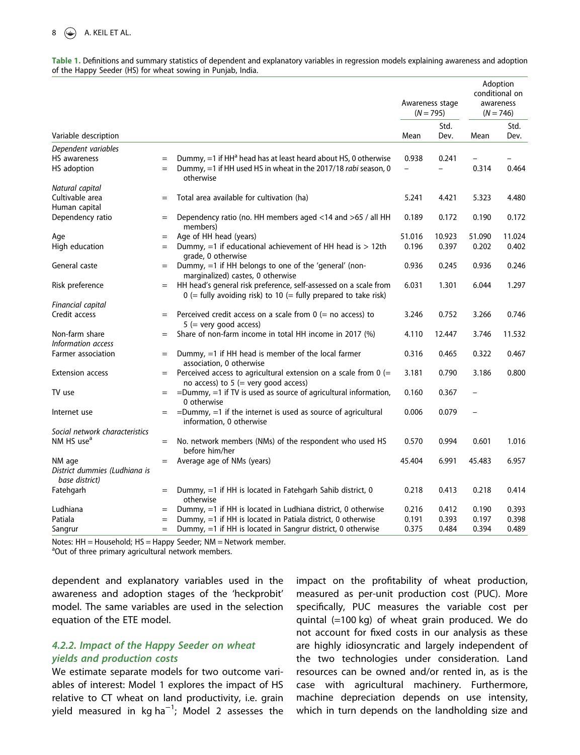<span id="page-8-0"></span>Table 1. Definitions and summary statistics of dependent and explanatory variables in regression models explaining awareness and adoption of the Happy Seeder (HS) for wheat sowing in Punjab, India.

|                                                           |     |                                                                                                                                       |        | Awareness stage<br>$(N = 795)$ |                   | Adoption<br>conditional on<br>awareness<br>$(N = 746)$ |
|-----------------------------------------------------------|-----|---------------------------------------------------------------------------------------------------------------------------------------|--------|--------------------------------|-------------------|--------------------------------------------------------|
| Variable description                                      |     |                                                                                                                                       | Mean   | Std.<br>Dev.                   | Mean              | Std.<br>Dev.                                           |
| Dependent variables                                       |     |                                                                                                                                       |        |                                |                   |                                                        |
| HS awareness                                              | $=$ | Dummy, $=1$ if HH $^a$ head has at least heard about HS, 0 otherwise                                                                  | 0.938  | 0.241                          | $\qquad \qquad -$ |                                                        |
| HS adoption                                               | $=$ | Dummy, =1 if HH used HS in wheat in the 2017/18 rabi season, 0<br>otherwise                                                           |        |                                | 0.314             | 0.464                                                  |
| Natural capital                                           |     |                                                                                                                                       |        |                                |                   |                                                        |
| Cultivable area<br>Human capital                          | $=$ | Total area available for cultivation (ha)                                                                                             | 5.241  | 4.421                          | 5.323             | 4.480                                                  |
| Dependency ratio                                          | $=$ | Dependency ratio (no. HH members aged <14 and >65 / all HH<br>members)                                                                | 0.189  | 0.172                          | 0.190             | 0.172                                                  |
| Age                                                       | $=$ | Age of HH head (years)                                                                                                                | 51.016 | 10.923                         | 51.090            | 11.024                                                 |
| High education                                            | $=$ | Dummy, $=1$ if educational achievement of HH head is $> 12$ th<br>grade, 0 otherwise                                                  | 0.196  | 0.397                          | 0.202             | 0.402                                                  |
| General caste                                             | $=$ | Dummy, =1 if HH belongs to one of the 'general' (non-<br>marginalized) castes, 0 otherwise                                            | 0.936  | 0.245                          | 0.936             | 0.246                                                  |
| Risk preference                                           | $=$ | HH head's general risk preference, self-assessed on a scale from<br>$0$ (= fully avoiding risk) to 10 (= fully prepared to take risk) | 6.031  | 1.301                          | 6.044             | 1.297                                                  |
| Financial capital                                         |     |                                                                                                                                       |        |                                |                   |                                                        |
| Credit access                                             | $=$ | Perceived credit access on a scale from $0 (=$ no access) to<br>$5 (= very good access)$                                              | 3.246  | 0.752                          | 3.266             | 0.746                                                  |
| Non-farm share<br>Information access                      | $=$ | Share of non-farm income in total HH income in 2017 (%)                                                                               | 4.110  | 12.447                         | 3.746             | 11.532                                                 |
| Farmer association                                        | $=$ | Dummy, $=1$ if HH head is member of the local farmer<br>association, 0 otherwise                                                      | 0.316  | 0.465                          | 0.322             | 0.467                                                  |
| <b>Extension access</b>                                   | $=$ | Perceived access to agricultural extension on a scale from $0 (=$<br>no access) to $5$ (= very good access)                           | 3.181  | 0.790                          | 3.186             | 0.800                                                  |
| TV use                                                    | $=$ | $=$ Dummy, $=$ 1 if TV is used as source of agricultural information,<br>0 otherwise                                                  | 0.160  | 0.367                          |                   |                                                        |
| Internet use                                              | $=$ | $=$ Dummy, $=$ 1 if the internet is used as source of agricultural<br>information, 0 otherwise                                        | 0.006  | 0.079                          | $\qquad \qquad -$ |                                                        |
| Social network characteristics                            |     |                                                                                                                                       |        |                                |                   |                                                        |
| NM HS use <sup>a</sup>                                    | $=$ | No. network members (NMs) of the respondent who used HS<br>before him/her                                                             | 0.570  | 0.994                          | 0.601             | 1.016                                                  |
| NM age<br>District dummies (Ludhiana is<br>base district) | $=$ | Average age of NMs (years)                                                                                                            | 45.404 | 6.991                          | 45.483            | 6.957                                                  |
| Fatehgarh                                                 | $=$ | Dummy, =1 if HH is located in Fatehgarh Sahib district, 0<br>otherwise                                                                | 0.218  | 0.413                          | 0.218             | 0.414                                                  |
| Ludhiana                                                  | $=$ | Dummy, =1 if HH is located in Ludhiana district, 0 otherwise                                                                          | 0.216  | 0.412                          | 0.190             | 0.393                                                  |
| Patiala                                                   | $=$ | Dummy, =1 if HH is located in Patiala district, 0 otherwise                                                                           | 0.191  | 0.393                          | 0.197             | 0.398                                                  |
| Sangrur                                                   | $=$ | Dummy, =1 if HH is located in Sangrur district, 0 otherwise                                                                           | 0.375  | 0.484                          | 0.394             | 0.489                                                  |

Notes: HH = Household; HS = Happy Seeder; NM = Network member.

<sup>a</sup>Out of three primary agricultural network members.

dependent and explanatory variables used in the awareness and adoption stages of the 'heckprobit' model. The same variables are used in the selection equation of the ETE model.

## 4.2.2. Impact of the Happy Seeder on wheat yields and production costs

We estimate separate models for two outcome variables of interest: Model 1 explores the impact of HS relative to CT wheat on land productivity, i.e. grain yield measured in kg ha−<sup>1</sup> ; Model 2 assesses the

impact on the profitability of wheat production, measured as per-unit production cost (PUC). More specifically, PUC measures the variable cost per quintal (=100 kg) of wheat grain produced. We do not account for fixed costs in our analysis as these are highly idiosyncratic and largely independent of the two technologies under consideration. Land resources can be owned and/or rented in, as is the case with agricultural machinery. Furthermore, machine depreciation depends on use intensity, which in turn depends on the landholding size and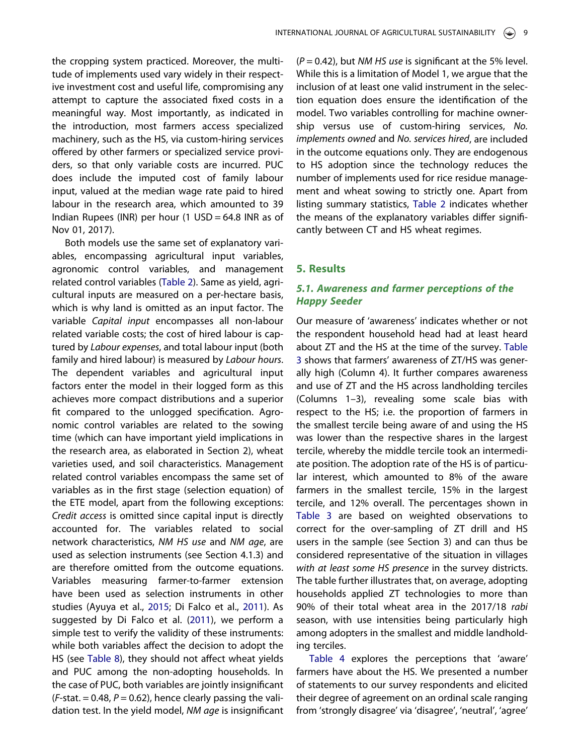the cropping system practiced. Moreover, the multitude of implements used vary widely in their respective investment cost and useful life, compromising any attempt to capture the associated fixed costs in a meaningful way. Most importantly, as indicated in the introduction, most farmers access specialized machinery, such as the HS, via custom-hiring services offered by other farmers or specialized service providers, so that only variable costs are incurred. PUC does include the imputed cost of family labour input, valued at the median wage rate paid to hired labour in the research area, which amounted to 39 Indian Rupees (INR) per hour (1 USD = 64.8 INR as of Nov 01, 2017).

Both models use the same set of explanatory variables, encompassing agricultural input variables, agronomic control variables, and management related control variables [\(Table 2](#page-10-0)). Same as yield, agricultural inputs are measured on a per-hectare basis, which is why land is omitted as an input factor. The variable *Capital input* encompasses all non-labour related variable costs; the cost of hired labour is captured by *Labour expenses*, and total labour input (both family and hired labour) is measured by *Labour hours*. The dependent variables and agricultural input factors enter the model in their logged form as this achieves more compact distributions and a superior fit compared to the unlogged specification. Agronomic control variables are related to the sowing time (which can have important yield implications in the research area, as elaborated in Section 2), wheat varieties used, and soil characteristics. Management related control variables encompass the same set of variables as in the first stage (selection equation) of the ETE model, apart from the following exceptions: *Credit access* is omitted since capital input is directly accounted for. The variables related to social network characteristics, *NM HS use* and *NM age*, are used as selection instruments (see Section 4.1.3) and are therefore omitted from the outcome equations. Variables measuring farmer-to-farmer extension have been used as selection instruments in other studies (Ayuya et al., [2015](#page-22-16); Di Falco et al., [2011\)](#page-22-14). As suggested by Di Falco et al. [\(2011\)](#page-22-14), we perform a simple test to verify the validity of these instruments: while both variables affect the decision to adopt the HS (see [Table 8\)](#page-17-0), they should not affect wheat yields and PUC among the non-adopting households. In the case of PUC, both variables are jointly insignificant  $(F-stat. = 0.48, P = 0.62)$ , hence clearly passing the validation test. In the yield model, *NM age* is insignificant

(*P* = 0.42), but *NM HS use* is significant at the 5% level. While this is a limitation of Model 1, we argue that the inclusion of at least one valid instrument in the selection equation does ensure the identification of the model. Two variables controlling for machine ownership versus use of custom-hiring services, *No. implements owned* and *No. services hired*, are included in the outcome equations only. They are endogenous to HS adoption since the technology reduces the number of implements used for rice residue management and wheat sowing to strictly one. Apart from listing summary statistics, [Table 2](#page-10-0) indicates whether the means of the explanatory variables differ significantly between CT and HS wheat regimes.

#### 5. Results

## 5.1. Awareness and farmer perceptions of the Happy Seeder

Our measure of 'awareness' indicates whether or not the respondent household head had at least heard about ZT and the HS at the time of the survey. [Table](#page-11-0) [3](#page-11-0) shows that farmers' awareness of ZT/HS was generally high (Column 4). It further compares awareness and use of ZT and the HS across landholding terciles (Columns 1–3), revealing some scale bias with respect to the HS; i.e. the proportion of farmers in the smallest tercile being aware of and using the HS was lower than the respective shares in the largest tercile, whereby the middle tercile took an intermediate position. The adoption rate of the HS is of particular interest, which amounted to 8% of the aware farmers in the smallest tercile, 15% in the largest tercile, and 12% overall. The percentages shown in [Table 3](#page-11-0) are based on weighted observations to correct for the over-sampling of ZT drill and HS users in the sample (see Section 3) and can thus be considered representative of the situation in villages *with at least some HS presence* in the survey districts. The table further illustrates that, on average, adopting households applied ZT technologies to more than 90% of their total wheat area in the 2017/18 *rabi* season, with use intensities being particularly high among adopters in the smallest and middle landholding terciles.

<span id="page-9-0"></span>[Table 4](#page-12-0) explores the perceptions that 'aware' farmers have about the HS. We presented a number of statements to our survey respondents and elicited their degree of agreement on an ordinal scale ranging from 'strongly disagree' via 'disagree', 'neutral', 'agree'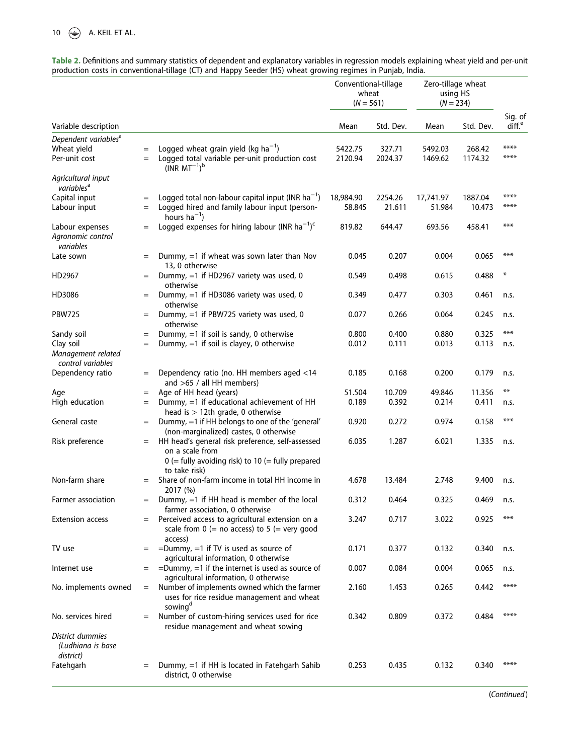<span id="page-10-0"></span>Table 2. Definitions and summary statistics of dependent and explanatory variables in regression models explaining wheat yield and per-unit production costs in conventional-tillage (CT) and Happy Seeder (HS) wheat growing regimes in Punjab, India.

|                                                             |            |                                                                                                                                               | Conventional-tillage<br>wheat<br>$(N = 561)$ |                   | Zero-tillage wheat<br>using HS<br>$(N = 234)$ |                   |                               |
|-------------------------------------------------------------|------------|-----------------------------------------------------------------------------------------------------------------------------------------------|----------------------------------------------|-------------------|-----------------------------------------------|-------------------|-------------------------------|
| Variable description                                        |            |                                                                                                                                               | Mean                                         | Std. Dev.         | Mean                                          | Std. Dev.         | Sig. of<br>diff. <sup>e</sup> |
| Dependent variables <sup>a</sup>                            |            |                                                                                                                                               |                                              |                   |                                               |                   |                               |
| Wheat yield<br>Per-unit cost                                | $=$<br>$=$ | Logged wheat grain yield (kg ha <sup>-1</sup> )<br>Logged total variable per-unit production cost<br>$(INR MT^{-1})^b$                        | 5422.75<br>2120.94                           | 327.71<br>2024.37 | 5492.03<br>1469.62                            | 268.42<br>1174.32 | ****<br>****                  |
| Agricultural input<br>variables <sup>a</sup>                |            |                                                                                                                                               |                                              |                   |                                               |                   |                               |
| Capital input                                               | $=$        | Logged total non-labour capital input (INR $ha^{-1}$ )                                                                                        | 18,984.90                                    | 2254.26           | 17,741.97                                     | 1887.04           | ****                          |
| Labour input                                                | $=$        | Logged hired and family labour input (person-<br>hours $ha^{-1}$ )                                                                            | 58.845                                       | 21.611            | 51.984                                        | 10.473            | ****                          |
| Labour expenses<br>Agronomic control<br>variables           | $=$        | Logged expenses for hiring labour (INR $ha^{-1}$ ) <sup>c</sup>                                                                               | 819.82                                       | 644.47            | 693.56                                        | 458.41            | ***                           |
| Late sown                                                   | $=$        | Dummy, $=1$ if wheat was sown later than Nov<br>13, 0 otherwise                                                                               | 0.045                                        | 0.207             | 0.004                                         | 0.065             | ***                           |
| HD2967                                                      | $=$        | Dummy, =1 if HD2967 variety was used, 0<br>otherwise                                                                                          | 0.549                                        | 0.498             | 0.615                                         | 0.488             | ∗                             |
| HD3086                                                      | $=$        | Dummy, =1 if HD3086 variety was used, 0<br>otherwise                                                                                          | 0.349                                        | 0.477             | 0.303                                         | 0.461             | n.s.                          |
| <b>PBW725</b>                                               | $=$        | Dummy, =1 if PBW725 variety was used, 0<br>otherwise                                                                                          | 0.077                                        | 0.266             | 0.064                                         | 0.245             | n.s.                          |
| Sandy soil                                                  | $=$        | Dummy, $=1$ if soil is sandy, 0 otherwise                                                                                                     | 0.800                                        | 0.400             | 0.880                                         | 0.325             | ***                           |
| Clay soil<br>Management related<br>control variables        | $=$        | Dummy, $=1$ if soil is clayey, 0 otherwise                                                                                                    | 0.012                                        | 0.111             | 0.013                                         | 0.113             | n.s.                          |
| Dependency ratio                                            | $=$        | Dependency ratio (no. HH members aged <14<br>and $>65$ / all HH members)                                                                      | 0.185                                        | 0.168             | 0.200                                         | 0.179             | n.s.                          |
| Age                                                         | $=$        | Age of HH head (years)                                                                                                                        | 51.504                                       | 10.709            | 49.846                                        | 11.356            | **                            |
| High education                                              | $=$        | Dummy, $=1$ if educational achievement of HH<br>head is $> 12$ th grade, 0 otherwise                                                          | 0.189                                        | 0.392             | 0.214                                         | 0.411             | n.s.                          |
| General caste                                               | $=$        | Dummy, =1 if HH belongs to one of the 'general'<br>(non-marginalized) castes, 0 otherwise                                                     | 0.920                                        | 0.272             | 0.974                                         | 0.158             | ***                           |
| Risk preference                                             |            | = HH head's general risk preference, self-assessed<br>on a scale from<br>$0$ (= fully avoiding risk) to 10 (= fully prepared<br>to take risk) | 6.035                                        | 1.287             | 6.021                                         | 1.335             | n.s.                          |
| Non-farm share                                              |            | $=$ Share of non-farm income in total HH income in<br>2017 (%)                                                                                | 4.678                                        | 13.484            | 2.748                                         | 9.400             | n.s.                          |
| Farmer association                                          | $=$        | Dummy, $=1$ if HH head is member of the local<br>farmer association, 0 otherwise                                                              | 0.312                                        | 0.464             | 0.325                                         | 0.469             | n.s.                          |
| <b>Extension access</b>                                     |            | Perceived access to agricultural extension on a<br>scale from $0$ (= no access) to 5 (= very good<br>access)                                  | 3.247                                        | 0.717             | 3.022                                         | 0.925             | ***                           |
| TV use                                                      |            | $=$ = Dummy, =1 if TV is used as source of<br>agricultural information, 0 otherwise                                                           | 0.171                                        | 0.377             | 0.132                                         | 0.340             | n.s.                          |
| Internet use                                                |            | $=$ = Dummy, =1 if the internet is used as source of<br>agricultural information, 0 otherwise                                                 | 0.007                                        | 0.084             | 0.004                                         | 0.065             | n.s.                          |
| No. implements owned                                        | $=$        | Number of implements owned which the farmer<br>uses for rice residue management and wheat<br>sowing <sup>d</sup>                              | 2.160                                        | 1.453             | 0.265                                         | 0.442             | ****                          |
| No. services hired<br>District dummies<br>(Ludhiana is base | $=$        | Number of custom-hiring services used for rice<br>residue management and wheat sowing                                                         | 0.342                                        | 0.809             | 0.372                                         | 0.484             | ****                          |
| district)<br>Fatehgarh                                      | $=$        | Dummy, =1 if HH is located in Fatehgarh Sahib                                                                                                 | 0.253                                        | 0.435             | 0.132                                         | 0.340             | ****                          |
|                                                             |            | district, 0 otherwise                                                                                                                         |                                              |                   |                                               |                   |                               |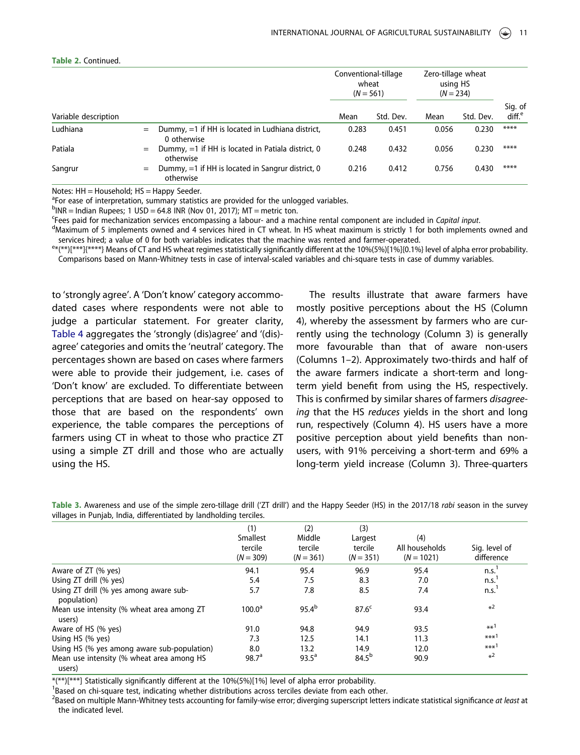#### Table 2. Continued.

|                      |     |                                                                  | Conventional-tillage<br>wheat<br>$(N = 561)$ |           |       | Zero-tillage wheat<br>using HS<br>$(N = 234)$ |                               |
|----------------------|-----|------------------------------------------------------------------|----------------------------------------------|-----------|-------|-----------------------------------------------|-------------------------------|
| Variable description |     |                                                                  | Mean                                         | Std. Dev. | Mean  | Std. Dev.                                     | Sig. of<br>diff. <sup>e</sup> |
| Ludhiana             | $=$ | Dummy, =1 if HH is located in Ludhiana district,<br>0 otherwise  | 0.283                                        | 0.451     | 0.056 | 0.230                                         | ****                          |
| Patiala              | $=$ | Dummy, $=1$ if HH is located in Patiala district, 0<br>otherwise | 0.248                                        | 0.432     | 0.056 | 0.230                                         | ****                          |
| Sangrur              | $=$ | Dummy, =1 if HH is located in Sangrur district, 0<br>otherwise   | 0.216                                        | 0.412     | 0.756 | 0.430                                         | ****                          |

Notes: HH = Household; HS = Happy Seeder.

<sup>a</sup>For ease of interpretation, summary statistics are provided for the unlogged variables.

 $b$ INR = Indian Rupees; 1 USD = 64.8 INR (Nov 01, 2017); MT = metric ton.

Fees paid for mechanization services encompassing a labour- and a machine rental component are included in Capital input.

<sup>d</sup>Maximum of 5 implements owned and 4 services hired in CT wheat. In HS wheat maximum is strictly 1 for both implements owned and services hired; a value of 0 for both variables indicates that the machine was rented and farmer-operated.

e \*(\*\*)[\*\*\*]{\*\*\*\*} Means of CT and HS wheat regimes statistically significantly different at the 10%(5%)[1%]{0.1%} level of alpha error probability. Comparisons based on Mann-Whitney tests in case of interval-scaled variables and chi-square tests in case of dummy variables.

to 'strongly agree'. A 'Don't know' category accommodated cases where respondents were not able to judge a particular statement. For greater clarity, [Table 4](#page-12-0) aggregates the 'strongly (dis)agree' and '(dis) agree' categories and omits the 'neutral' category. The percentages shown are based on cases where farmers were able to provide their judgement, i.e. cases of 'Don't know' are excluded. To differentiate between perceptions that are based on hear-say opposed to those that are based on the respondents' own experience, the table compares the perceptions of farmers using CT in wheat to those who practice ZT using a simple ZT drill and those who are actually using the HS.

The results illustrate that aware farmers have mostly positive perceptions about the HS (Column 4), whereby the assessment by farmers who are currently using the technology (Column 3) is generally more favourable than that of aware non-users (Columns 1–2). Approximately two-thirds and half of the aware farmers indicate a short-term and longterm yield benefit from using the HS, respectively. This is confirmed by similar shares of farmers *disagreeing* that the HS *reduces* yields in the short and long run, respectively (Column 4). HS users have a more positive perception about yield benefits than nonusers, with 91% perceiving a short-term and 69% a long-term yield increase (Column 3). Three-quarters

<span id="page-11-0"></span>Table 3. Awareness and use of the simple zero-tillage drill ('ZT drill') and the Happy Seeder (HS) in the 2017/18 rabi season in the survey villages in Punjab, India, differentiated by landholding terciles.

|                                                       | (1)<br>Smallest<br>tercile<br>$(N = 309)$ | (2)<br>Middle<br>tercile<br>$(N = 361)$ | (3)<br>Largest<br>tercile<br>$(N = 351)$ | (4)<br>All households<br>$(N = 1021)$ | Sig. level of<br>difference |
|-------------------------------------------------------|-------------------------------------------|-----------------------------------------|------------------------------------------|---------------------------------------|-----------------------------|
| Aware of ZT (% yes)                                   | 94.1                                      | 95.4                                    | 96.9                                     | 95.4                                  | n.s.                        |
| Using ZT drill (% yes)                                | 5.4                                       | 7.5                                     | 8.3                                      | 7.0                                   | n.s.                        |
| Using ZT drill (% yes among aware sub-<br>population) | 5.7                                       | 7.8                                     | 8.5                                      | 7.4                                   | n.s.'                       |
| Mean use intensity (% wheat area among ZT<br>users)   | $100.0^a$                                 | $95.4^{b}$                              | 87.6 <sup>c</sup>                        | 93.4                                  | $*^2$                       |
| Aware of HS (% yes)                                   | 91.0                                      | 94.8                                    | 94.9                                     | 93.5                                  | $**1$                       |
| Using HS (% yes)                                      | 7.3                                       | 12.5                                    | 14.1                                     | 11.3                                  | $***1$                      |
| Using HS (% yes among aware sub-population)           | 8.0                                       | 13.2                                    | 14.9                                     | 12.0                                  | $***1$                      |
| Mean use intensity (% wheat area among HS<br>users)   | 98.7 <sup>a</sup>                         | $93.5^{\circ}$                          | $84.5^{b}$                               | 90.9                                  | $*^2$                       |

\*(\*\*)[\*\*\*] Statistically significantly different at the 10%(5%)[1%] level of alpha error probability.

<sup>1</sup>Based on chi-square test, indicating whether distributions across terciles deviate from each other.

<sup>2</sup>Based on multiple Mann-Whitney tests accounting for family-wise error; diverging superscript letters indicate statistical significance *at least* at the indicated level.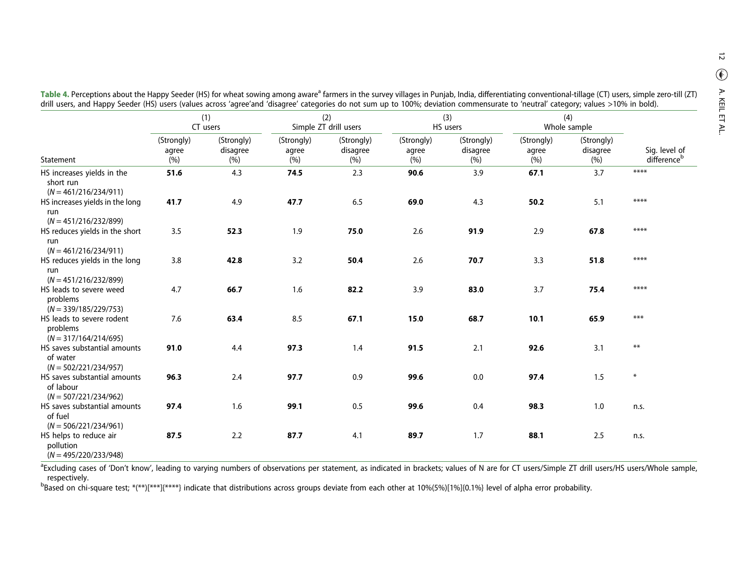<span id="page-12-0"></span>

|                                                                      |                            | (1)<br>CT users                 |                              | (2)<br>Simple ZT drill users   |                             | (3)<br>HS users                 | (4)<br>Whole sample        |                                 |                                          |
|----------------------------------------------------------------------|----------------------------|---------------------------------|------------------------------|--------------------------------|-----------------------------|---------------------------------|----------------------------|---------------------------------|------------------------------------------|
| Statement                                                            | (Strongly)<br>agree<br>(%) | (Strongly)<br>disagree<br>(9/6) | (Strongly)<br>agree<br>(9/6) | (Strongly)<br>disagree<br>(% ) | (Strongly)<br>agree<br>(96) | (Strongly)<br>disagree<br>(9/6) | (Strongly)<br>agree<br>(%) | (Strongly)<br>disagree<br>(9/6) | Sig. level of<br>difference <sup>b</sup> |
| HS increases yields in the<br>short run<br>$(N = 461/216/234/911)$   | 51.6                       | 4.3                             | 74.5                         | 2.3                            | 90.6                        | 3.9                             | 67.1                       | 3.7                             | ****                                     |
| HS increases yields in the long<br>run<br>$(N = 451/216/232/899)$    | 41.7                       | 4.9                             | 47.7                         | 6.5                            | 69.0                        | 4.3                             | 50.2                       | 5.1                             | ****                                     |
| HS reduces yields in the short<br>run<br>$(N = 461/216/234/911)$     | 3.5                        | 52.3                            | 1.9                          | 75.0                           | 2.6                         | 91.9                            | 2.9                        | 67.8                            | ****                                     |
| HS reduces yields in the long<br>run<br>$(N = 451/216/232/899)$      | 3.8                        | 42.8                            | 3.2                          | 50.4                           | 2.6                         | 70.7                            | 3.3                        | 51.8                            | ****                                     |
| HS leads to severe weed<br>problems<br>$(N = 339/185/229/753)$       | 4.7                        | 66.7                            | 1.6                          | 82.2                           | 3.9                         | 83.0                            | 3.7                        | 75.4                            | ****                                     |
| HS leads to severe rodent<br>problems<br>$(N = 317/164/214/695)$     | 7.6                        | 63.4                            | 8.5                          | 67.1                           | 15.0                        | 68.7                            | 10.1                       | 65.9                            | $***$                                    |
| HS saves substantial amounts<br>of water<br>$(N = 502/221/234/957)$  | 91.0                       | 4.4                             | 97.3                         | 1.4                            | 91.5                        | 2.1                             | 92.6                       | 3.1                             | $***$                                    |
| HS saves substantial amounts<br>of labour<br>$(N = 507/221/234/962)$ | 96.3                       | 2.4                             | 97.7                         | 0.9                            | 99.6                        | 0.0                             | 97.4                       | 1.5                             | $\ast$                                   |
| HS saves substantial amounts<br>of fuel<br>$(N = 506/221/234/961)$   | 97.4                       | 1.6                             | 99.1                         | 0.5                            | 99.6                        | 0.4                             | 98.3                       | 1.0                             | n.s.                                     |
| HS helps to reduce air<br>pollution<br>$(N = 495/220/233/948)$       | 87.5                       | 2.2                             | 87.7                         | 4.1                            | 89.7                        | 1.7                             | 88.1                       | 2.5                             | n.s.                                     |

Table 4. Perceptions about the Happy Seeder (HS) for wheat sowing among aware<sup>a</sup> farmers in the survey villages in Punjab, India, differentiating conventional-tillage (CT) users, simple zero-till (ZT) drill users, and Happy Seeder (HS) users (values across 'agree'and 'disagree' categories do not sum up to 100%; deviation commensurate to 'neutral' category; values >10% in bold).

<sup>a</sup>Excluding cases of 'Don't know', leading to varying numbers of observations per statement, as indicated in brackets; values of N are for CT users/Simple ZT drill users/HS users/Whole sample, respectively.

bBased on chi-square test; \*(\*\*)[\*\*\*]{\*\*\*\*} indicate that distributions across groups deviate from each other at 10%(5%)[1%]{0.1%} level of alpha error probability.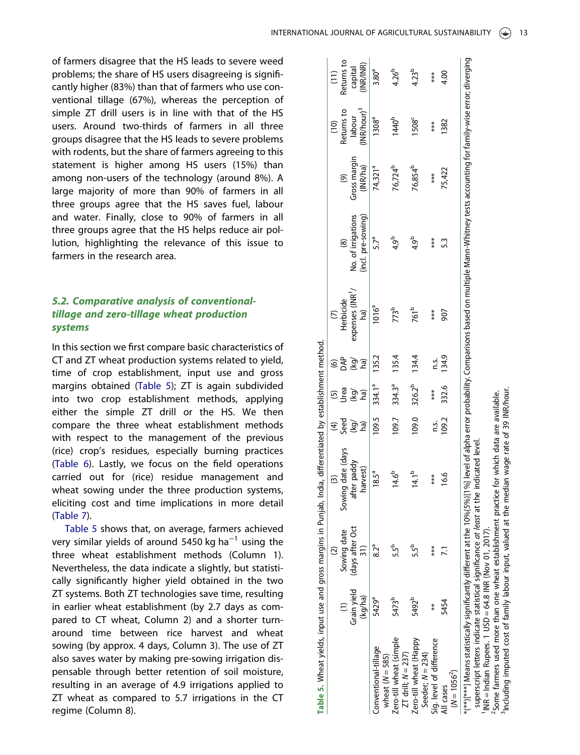of farmers disagree that the HS leads to severe weed problems; the share of HS users disagreeing is significantly higher (83%) than that of farmers who use conventional tillage (67%), whereas the perception of simple ZT drill users is in line with that of the HS users. Around two-thirds of farmers in all three groups disagree that the HS leads to severe problems with rodents, but the share of farmers agreeing to this statement is higher among HS users (15%) than among non-users of the technology (around 8%). A large majority of more than 90% of farmers in all three groups agree that the HS saves fuel, labour and water. Finally, close to 90% of farmers in all three groups agree that the HS helps reduce air pollution, highlighting the relevance of this issue to farmers in the research area.

## 5.2. Comparative analysis of conventionaltillage and zero-tillage wheat production systems

In this section we first compare basic characteristics of CT and ZT wheat production systems related to yield, time of crop establishment, input use and gross margins obtained [\(Table 5](#page-13-0)); ZT is again subdivided into two crop establishment methods, applying either the simple ZT drill or the HS. We then compare the three wheat establishment methods with respect to the management of the previous (rice) crop's residues, especially burning practices ([Table 6](#page-14-0)). Lastly, we focus on the field operations carried out for (rice) residue management and wheat sowing under the three production systems, eliciting cost and time implications in more detail ([Table 7](#page-14-1)).

[Table 5](#page-13-0) shows that, on average, farmers achieved very similar yields of around 5450 kg ha−<sup>1</sup> using the three wheat establishment methods (Column 1). Nevertheless, the data indicate a slightly, but statistically significantly higher yield obtained in the two ZT systems. Both ZT technologies save time, resulting in earlier wheat establishment (by 2.7 days as compared to CT wheat, Column 2) and a shorter turnaround time between rice harvest and wheat sowing (by approx. 4 days, Column 3). The use of ZT also saves water by making pre-sowing irrigation dispensable through better retention of soil moisture, resulting in an average of 4.9 irrigations applied to ZT wheat as compared to 5.7 irrigations in the CT regime (Column 8).

<span id="page-13-0"></span>

|                          |                   | $\widehat{\alpha}$ | $\widehat{\mathcal{Q}}$ |             |                    |            |                  |                    |                     | $\widehat{5}$          | $\left(11\right)$ |
|--------------------------|-------------------|--------------------|-------------------------|-------------|--------------------|------------|------------------|--------------------|---------------------|------------------------|-------------------|
|                          |                   | Sowing date        | Sowing date (days       | Seed        | Jrea               | <b>BAP</b> | Herbicide        |                    |                     | Returns to             | Returns to        |
|                          | Grain yield       | (days after Oct    | after paddy             | ley)<br>hai | kg/<br>hai         | ्<br>पूर्व | expenses (INR /  | No. of irrigations | Gross margin        | labour                 | capital           |
|                          | (kg/ha)           | $\frac{1}{2}$      | harvest)                |             |                    |            | hai              | (incl. pre-sowing) | (INR/ha)            | INR/hour) <sup>3</sup> | (INR/INR)         |
| onventional-tillage      | 5429ª             | $8.2^{a}$          | $18.5^a$                | 109.5       | 334.1ª             | 135.2      | $1016^{a}$       | 5 7ª               | $74,321^a$          | $1308^{a}$             | 3.80 <sup>a</sup> |
| wheat $(N = 585)$        |                   |                    |                         |             |                    |            |                  |                    |                     |                        |                   |
| Zero-till wheat (simple  | 5473 <sup>b</sup> | 5.5 <sup>b</sup>   | $14.6^{b}$              | 109.7       | 334.3 <sup>a</sup> | 135.4      | 773 <sup>b</sup> | $4.9^{\circ}$      | 76,724 <sup>b</sup> | 1440 <sup>b</sup>      | 4.26 <sup>b</sup> |
| $2T$ drill; $N = 237$ )  |                   |                    |                         |             |                    |            |                  |                    |                     |                        |                   |
| Zero-till wheat (Happy   | 5492 <sup>b</sup> | 5.5 <sup>b</sup>   | $14.1^{b}$              | 109.0       | 326.2 <sup>b</sup> | 134.4      | 761 <sup>b</sup> | 4.9 <sup>b</sup>   | 76,854 <sup>b</sup> | 1508 <sup>c</sup>      | $4.23^{b}$        |
| Seeder; $N = 234$ )      |                   |                    |                         |             |                    |            |                  |                    |                     |                        |                   |
| Sig. level of difference |                   | ***                | ***                     | n.s.        | ***                | n.s.       | ***              | ***                | ***                 | ***                    | ***               |
| All cases                | 5454              |                    | 16.6                    | 109.2       | 332.6              | 134.9      | 505              | 5.3                | 75,422              | 1382                   | $\frac{6}{1}$     |
| $(N = 10562)$            |                   |                    |                         |             |                    |            |                  |                    |                     |                        |                   |

superscript letters indicate statistical significance at least at the indicated level.

 $1$ INR = Indian Rupees. 1 USD = 64.8 INR (Nov 01, 2017).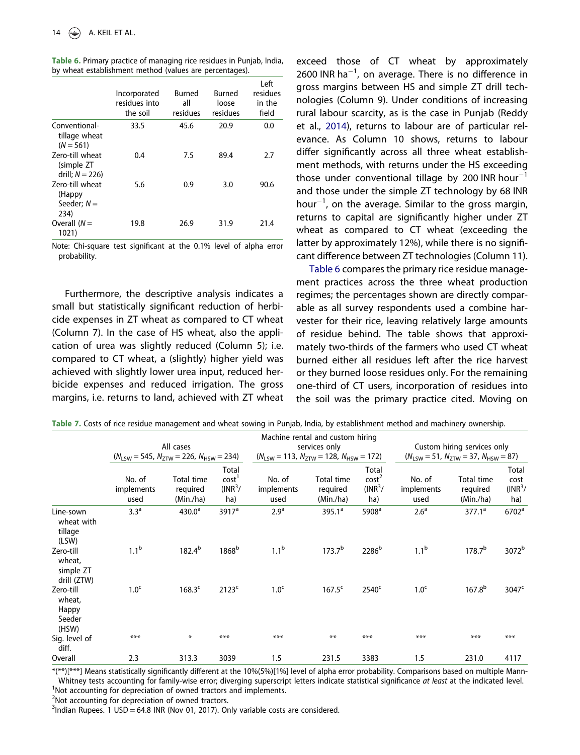|                                                     | Incorporated<br>residues into<br>the soil | Burned<br>all<br>residues | Burned<br>loose<br>residues | Left<br>residues<br>in the<br>field |
|-----------------------------------------------------|-------------------------------------------|---------------------------|-----------------------------|-------------------------------------|
| Conventional-<br>tillage wheat<br>$(N = 561)$       | 33.5                                      | 45.6                      | 20.9                        | 0.0                                 |
| Zero-till wheat<br>(simple ZT<br>drill: $N = 226$ ) | 0.4                                       | 7.5                       | 89.4                        | 2.7                                 |
| Zero-till wheat<br>(Happy<br>Seeder; $N =$<br>234)  | 5.6                                       | 0.9                       | 3.0                         | 90.6                                |
| Overall $(N =$<br>1021)                             | 19.8                                      | 26.9                      | 31.9                        | 21.4                                |

<span id="page-14-0"></span>Table 6. Primary practice of managing rice residues in Punjab, India, by wheat establishment method (values are percentages).

Note: Chi-square test significant at the 0.1% level of alpha error probability.

Furthermore, the descriptive analysis indicates a small but statistically significant reduction of herbicide expenses in ZT wheat as compared to CT wheat (Column 7). In the case of HS wheat, also the application of urea was slightly reduced (Column 5); i.e. compared to CT wheat, a (slightly) higher yield was achieved with slightly lower urea input, reduced herbicide expenses and reduced irrigation. The gross margins, i.e. returns to land, achieved with ZT wheat <span id="page-14-2"></span>exceed those of CT wheat by approximately 2600 INR ha−<sup>1</sup> , on average. There is no difference in gross margins between HS and simple ZT drill technologies (Column 9). Under conditions of increasing rural labour scarcity, as is the case in Punjab (Reddy et al., [2014](#page-24-20)), returns to labour are of particular relevance. As Column 10 shows, returns to labour differ significantly across all three wheat establishment methods, with returns under the HS exceeding those under conventional tillage by 200 INR hour<sup>-1</sup> and those under the simple ZT technology by 68 INR hour−<sup>1</sup> , on the average. Similar to the gross margin, returns to capital are significantly higher under ZT wheat as compared to CT wheat (exceeding the latter by approximately 12%), while there is no significant difference between ZT technologies (Column 11).

[Table 6](#page-14-0) compares the primary rice residue management practices across the three wheat production regimes; the percentages shown are directly comparable as all survey respondents used a combine harvester for their rice, leaving relatively large amounts of residue behind. The table shows that approximately two-thirds of the farmers who used CT wheat burned either all residues left after the rice harvest or they burned loose residues only. For the remaining one-third of CT users, incorporation of residues into the soil was the primary practice cited. Moving on

|                                                 | $(N_{15W} = 545, N_{2TW} = 226, N_{HSW} = 234)$ | All cases                           |                                                          | $(N_{15W} = 113, N_{2TW} = 128, N_{HSW} = 172)$ | Machine rental and custom hiring<br>services only |                                                          |                              | Custom hiring services only<br>$(N_{1.5W} = 51, N_{2TW} = 37, N_{HSW} = 87)$ |                                             |
|-------------------------------------------------|-------------------------------------------------|-------------------------------------|----------------------------------------------------------|-------------------------------------------------|---------------------------------------------------|----------------------------------------------------------|------------------------------|------------------------------------------------------------------------------|---------------------------------------------|
|                                                 | No. of<br>implements<br>used                    | Total time<br>required<br>(Min./ha) | Total<br>cost <sup>1</sup><br>(INR <sup>3</sup> /<br>ha) | No. of<br>implements<br>used                    | Total time<br>required<br>(Min./ha)               | Total<br>cost <sup>2</sup><br>(INR <sup>3</sup> /<br>ha) | No. of<br>implements<br>used | Total time<br>required<br>(Min./ha)                                          | Total<br>cost<br>(INR <sup>3</sup> /<br>ha) |
| Line-sown<br>wheat with<br>tillage<br>(LSW)     | 3.3 <sup>a</sup>                                | 430.0 <sup>a</sup>                  | 3917 <sup>a</sup>                                        | 2.9 <sup>a</sup>                                | 395.1 <sup>a</sup>                                | 5908 <sup>a</sup>                                        | 2.6 <sup>a</sup>             | $377.1^a$                                                                    | $6702^{\rm a}$                              |
| Zero-till<br>wheat,<br>simple ZT<br>drill (ZTW) | 1.1 <sup>b</sup>                                | $182.4^{b}$                         | 1868 <sup>b</sup>                                        | $1.1^{\rm b}$                                   | 173.7 <sup>b</sup>                                | 2286 <sup>b</sup>                                        | 1.1 <sup>b</sup>             | 178.7 <sup>b</sup>                                                           | 3072 <sup>b</sup>                           |
| Zero-till<br>wheat,<br>Happy<br>Seeder<br>(HSW) | 1.0 <sup>c</sup>                                | 168.3 <sup>c</sup>                  | 2123 <sup>c</sup>                                        | 1.0 <sup>c</sup>                                | $167.5^{\circ}$                                   | 2540 <sup>c</sup>                                        | 1.0 <sup>c</sup>             | $167.8^{b}$                                                                  | 3047 <sup>c</sup>                           |
| Sig. level of<br>diff.                          | ***                                             | $\ast$                              | ***                                                      | ***                                             | $**$                                              | ***                                                      | ***                          | ***                                                                          | ***                                         |
| Overall                                         | 2.3                                             | 313.3                               | 3039                                                     | 1.5                                             | 231.5                                             | 3383                                                     | 1.5                          | 231.0                                                                        | 4117                                        |

<span id="page-14-1"></span>Table 7. Costs of rice residue management and wheat sowing in Punjab, India, by establishment method and machinery ownership.

\*(\*\*)[\*\*\*] Means statistically significantly different at the 10%(5%)[1%] level of alpha error probability. Comparisons based on multiple Mann-Whitney tests accounting for family-wise error; diverging superscript letters indicate statistical significance at least at the indicated level. <sup>1</sup>Not accounting for depreciation of owned tractors and implements.

<sup>2</sup>Not accounting for depreciation of owned tractors.

 $3$ Indian Rupees. 1 USD = 64.8 INR (Nov 01, 2017). Only variable costs are considered.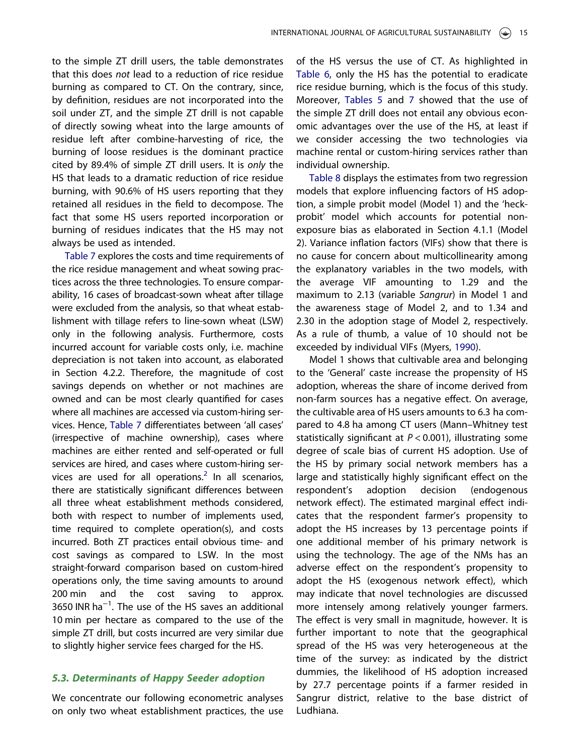to the simple ZT drill users, the table demonstrates that this does *not* lead to a reduction of rice residue burning as compared to CT. On the contrary, since, by definition, residues are not incorporated into the soil under ZT, and the simple ZT drill is not capable of directly sowing wheat into the large amounts of residue left after combine-harvesting of rice, the burning of loose residues is the dominant practice cited by 89.4% of simple ZT drill users. It is *only* the HS that leads to a dramatic reduction of rice residue burning, with 90.6% of HS users reporting that they retained all residues in the field to decompose. The fact that some HS users reported incorporation or burning of residues indicates that the HS may not always be used as intended.

[Table 7](#page-14-1) explores the costs and time requirements of the rice residue management and wheat sowing practices across the three technologies. To ensure comparability, 16 cases of broadcast-sown wheat after tillage were excluded from the analysis, so that wheat establishment with tillage refers to line-sown wheat (LSW) only in the following analysis. Furthermore, costs incurred account for variable costs only, i.e. machine depreciation is not taken into account, as elaborated in Section 4.2.2. Therefore, the magnitude of cost savings depends on whether or not machines are owned and can be most clearly quantified for cases where all machines are accessed via custom-hiring services. Hence, [Table 7](#page-14-1) differentiates between 'all cases' (irrespective of machine ownership), cases where machines are either rented and self-operated or full services are hired, and cases where custom-hiring ser-vices are used for all operations.<sup>2</sup> [In all scenarios,](#page-21-1) there are statistically significant differences between all three wheat establishment methods considered, both with respect to number of implements used, time required to complete operation(s), and costs incurred. Both ZT practices entail obvious time- and cost savings as compared to LSW. In the most straight-forward comparison based on custom-hired operations only, the time saving amounts to around 200 min and the cost saving to approx. 3650 INR ha−<sup>1</sup> . The use of the HS saves an additional 10 min per hectare as compared to the use of the simple ZT drill, but costs incurred are very similar due to slightly higher service fees charged for the HS.

#### 5.3. Determinants of Happy Seeder adoption

We concentrate our following econometric analyses on only two wheat establishment practices, the use of the HS versus the use of CT. As highlighted in [Table 6](#page-14-0), only the HS has the potential to eradicate rice residue burning, which is the focus of this study. Moreover, [Tables 5](#page-13-0) and [7](#page-14-1) showed that the use of the simple ZT drill does not entail any obvious economic advantages over the use of the HS, at least if we consider accessing the two technologies via machine rental or custom-hiring services rather than individual ownership.

[Table 8](#page-17-0) displays the estimates from two regression models that explore influencing factors of HS adoption, a simple probit model (Model 1) and the 'heckprobit' model which accounts for potential nonexposure bias as elaborated in Section 4.1.1 (Model 2). Variance inflation factors (VIFs) show that there is no cause for concern about multicollinearity among the explanatory variables in the two models, with the average VIF amounting to 1.29 and the maximum to 2.13 (variable *Sangrur*) in Model 1 and the awareness stage of Model 2, and to 1.34 and 2.30 in the adoption stage of Model 2, respectively. As a rule of thumb, a value of 10 should not be exceeded by individual VIFs (Myers, [1990\)](#page-24-21).

<span id="page-15-0"></span>Model 1 shows that cultivable area and belonging to the 'General' caste increase the propensity of HS adoption, whereas the share of income derived from non-farm sources has a negative effect. On average, the cultivable area of HS users amounts to 6.3 ha compared to 4.8 ha among CT users (Mann–Whitney test statistically significant at *P* < 0.001), illustrating some degree of scale bias of current HS adoption. Use of the HS by primary social network members has a large and statistically highly significant effect on the respondent's adoption decision (endogenous network effect). The estimated marginal effect indicates that the respondent farmer's propensity to adopt the HS increases by 13 percentage points if one additional member of his primary network is using the technology. The age of the NMs has an adverse effect on the respondent's propensity to adopt the HS (exogenous network effect), which may indicate that novel technologies are discussed more intensely among relatively younger farmers. The effect is very small in magnitude, however. It is further important to note that the geographical spread of the HS was very heterogeneous at the time of the survey: as indicated by the district dummies, the likelihood of HS adoption increased by 27.7 percentage points if a farmer resided in Sangrur district, relative to the base district of Ludhiana.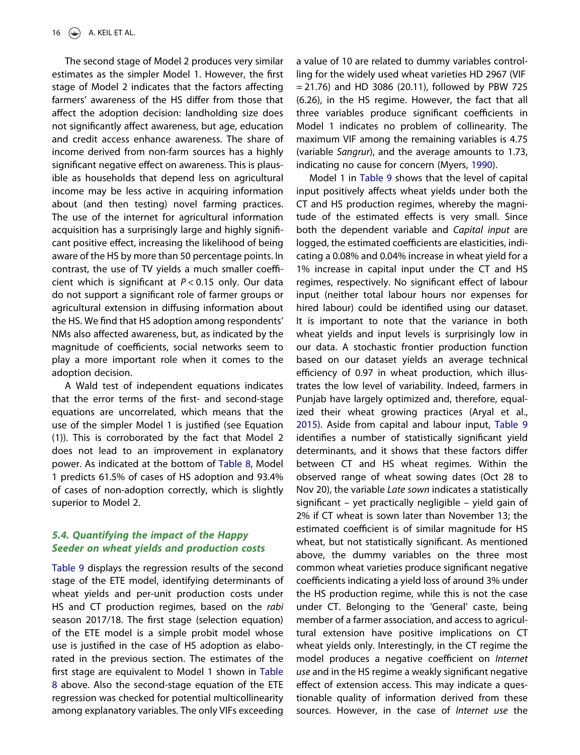The second stage of Model 2 produces very similar estimates as the simpler Model 1. However, the first stage of Model 2 indicates that the factors affecting farmers' awareness of the HS differ from those that affect the adoption decision: landholding size does not significantly affect awareness, but age, education and credit access enhance awareness. The share of income derived from non-farm sources has a highly significant negative effect on awareness. This is plausible as households that depend less on agricultural income may be less active in acquiring information about (and then testing) novel farming practices. The use of the internet for agricultural information acquisition has a surprisingly large and highly significant positive effect, increasing the likelihood of being aware of the HS by more than 50 percentage points. In contrast, the use of TV yields a much smaller coefficient which is significant at *P* < 0.15 only. Our data do not support a significant role of farmer groups or agricultural extension in diffusing information about the HS. We find that HS adoption among respondents' NMs also affected awareness, but, as indicated by the magnitude of coefficients, social networks seem to play a more important role when it comes to the adoption decision.

A Wald test of independent equations indicates that the error terms of the first- and second-stage equations are uncorrelated, which means that the use of the simpler Model 1 is justified (see Equation (1)). This is corroborated by the fact that Model 2 does not lead to an improvement in explanatory power. As indicated at the bottom of [Table 8,](#page-17-0) Model 1 predicts 61.5% of cases of HS adoption and 93.4% of cases of non-adoption correctly, which is slightly superior to Model 2.

## 5.4. Quantifying the impact of the Happy Seeder on wheat yields and production costs

[Table 9](#page-18-0) displays the regression results of the second stage of the ETE model, identifying determinants of wheat yields and per-unit production costs under HS and CT production regimes, based on the *rabi* season 2017/18. The first stage (selection equation) of the ETE model is a simple probit model whose use is justified in the case of HS adoption as elaborated in the previous section. The estimates of the first stage are equivalent to Model 1 shown in [Table](#page-17-0) [8](#page-17-0) above. Also the second-stage equation of the ETE regression was checked for potential multicollinearity among explanatory variables. The only VIFs exceeding

a value of 10 are related to dummy variables controlling for the widely used wheat varieties HD 2967 (VIF = 21.76) and HD 3086 (20.11), followed by PBW 725 (6.26), in the HS regime. However, the fact that all three variables produce significant coefficients in Model 1 indicates no problem of collinearity. The maximum VIF among the remaining variables is 4.75 (variable *Sangrur*), and the average amounts to 1.73, indicating no cause for concern (Myers, [1990](#page-24-21)).

<span id="page-16-0"></span>Model 1 in [Table 9](#page-18-0) shows that the level of capital input positively affects wheat yields under both the CT and HS production regimes, whereby the magnitude of the estimated effects is very small. Since both the dependent variable and *Capital input* are logged, the estimated coefficients are elasticities, indicating a 0.08% and 0.04% increase in wheat yield for a 1% increase in capital input under the CT and HS regimes, respectively. No significant effect of labour input (neither total labour hours nor expenses for hired labour) could be identified using our dataset. It is important to note that the variance in both wheat yields and input levels is surprisingly low in our data. A stochastic frontier production function based on our dataset yields an average technical efficiency of 0.97 in wheat production, which illustrates the low level of variability. Indeed, farmers in Punjab have largely optimized and, therefore, equalized their wheat growing practices (Aryal et al., [2015](#page-22-17)). Aside from capital and labour input, [Table 9](#page-18-0) identifies a number of statistically significant yield determinants, and it shows that these factors differ between CT and HS wheat regimes. Within the observed range of wheat sowing dates (Oct 28 to Nov 20), the variable *Late sown* indicates a statistically significant – yet practically negligible – yield gain of 2% if CT wheat is sown later than November 13; the estimated coefficient is of similar magnitude for HS wheat, but not statistically significant. As mentioned above, the dummy variables on the three most common wheat varieties produce significant negative coefficients indicating a yield loss of around 3% under the HS production regime, while this is not the case under CT. Belonging to the 'General' caste, being member of a farmer association, and access to agricultural extension have positive implications on CT wheat yields only. Interestingly, in the CT regime the model produces a negative coefficient on *Internet use* and in the HS regime a weakly significant negative effect of extension access. This may indicate a questionable quality of information derived from these sources. However, in the case of *Internet use* the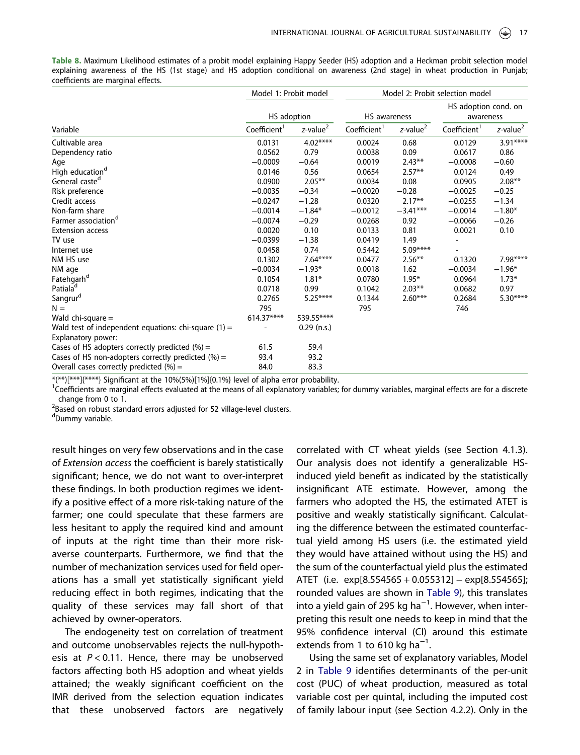<span id="page-17-0"></span>Table 8. Maximum Likelihood estimates of a probit model explaining Happy Seeder (HS) adoption and a Heckman probit selection model explaining awareness of the HS (1st stage) and HS adoption conditional on awareness (2nd stage) in wheat production in Punjab; coefficients are marginal effects.

|                                                        | Model 1: Probit model    |                 |                          |                 | Model 2: Probit selection model   |                 |
|--------------------------------------------------------|--------------------------|-----------------|--------------------------|-----------------|-----------------------------------|-----------------|
|                                                        | HS adoption              |                 | HS awareness             |                 | HS adoption cond. on<br>awareness |                 |
| Variable                                               | Coefficient <sup>1</sup> | $z$ -value $^2$ | Coefficient <sup>1</sup> | $z$ -value $^2$ | Coefficient <sup>1</sup>          | $z$ -value $^2$ |
| Cultivable area                                        | 0.0131                   | $4.02***$       | 0.0024                   | 0.68            | 0.0129                            | $3.91***$       |
| Dependency ratio                                       | 0.0562                   | 0.79            | 0.0038                   | 0.09            | 0.0617                            | 0.86            |
| Age                                                    | $-0.0009$                | $-0.64$         | 0.0019                   | $2.43***$       | $-0.0008$                         | $-0.60$         |
| High education <sup>a</sup>                            | 0.0146                   | 0.56            | 0.0654                   | $2.57**$        | 0.0124                            | 0.49            |
| General caste <sup>d</sup>                             | 0.0900                   | $2.05***$       | 0.0034                   | 0.08            | 0.0905                            | $2.08**$        |
| Risk preference                                        | $-0.0035$                | $-0.34$         | $-0.0020$                | $-0.28$         | $-0.0025$                         | $-0.25$         |
| Credit access                                          | $-0.0247$                | $-1.28$         | 0.0320                   | $2.17***$       | $-0.0255$                         | $-1.34$         |
| Non-farm share                                         | $-0.0014$                | $-1.84*$        | $-0.0012$                | $-3.41***$      | $-0.0014$                         | $-1.80*$        |
| Farmer association <sup>d</sup>                        | $-0.0074$                | $-0.29$         | 0.0268                   | 0.92            | $-0.0066$                         | $-0.26$         |
| <b>Extension access</b>                                | 0.0020                   | 0.10            | 0.0133                   | 0.81            | 0.0021                            | 0.10            |
| TV use                                                 | $-0.0399$                | $-1.38$         | 0.0419                   | 1.49            |                                   |                 |
| Internet use                                           | 0.0458                   | 0.74            | 0.5442                   | $5.09***$       |                                   |                 |
| NM HS use                                              | 0.1302                   | $7.64***$       | 0.0477                   | $2.56***$       | 0.1320                            | 7.98****        |
| NM age                                                 | $-0.0034$                | $-1.93*$        | 0.0018                   | 1.62            | $-0.0034$                         | $-1.96*$        |
| Fatehgarh <sup>d</sup>                                 | 0.1054                   | $1.81*$         | 0.0780                   | $1.95*$         | 0.0964                            | $1.73*$         |
| Patiala <sup>d</sup>                                   | 0.0718                   | 0.99            | 0.1042                   | $2.03***$       | 0.0682                            | 0.97            |
| Sangrur <sup>d</sup>                                   | 0.2765                   | $5.25***$       | 0.1344                   | $2.60***$       | 0.2684                            | $5.30***$       |
| $N =$                                                  | 795                      |                 | 795                      |                 | 746                               |                 |
| Wald chi-square $=$                                    | 614.37****               | 539.55****      |                          |                 |                                   |                 |
| Wald test of independent equations: chi-square $(1)$ = |                          | $0.29$ (n.s.)   |                          |                 |                                   |                 |
| Explanatory power:                                     |                          |                 |                          |                 |                                   |                 |
| Cases of HS adopters correctly predicted $(\%)$ =      | 61.5                     | 59.4            |                          |                 |                                   |                 |
| Cases of HS non-adopters correctly predicted $(\%)=$   | 93.4                     | 93.2            |                          |                 |                                   |                 |
| Overall cases correctly predicted $(\%) =$             | 84.0                     | 83.3            |                          |                 |                                   |                 |

\*(\*\*)[\*\*\*]{\*\*\*\*} Significant at the 10%(5%)[1%]{0.1%} level of alpha error probability.

<sup>1</sup>Coefficients are marginal effects evaluated at the means of all explanatory variables; for dummy variables, marginal effects are for a discrete change from 0 to 1.

 $2$ Based on robust standard errors adjusted for 52 village-level clusters.

<sup>d</sup>Dummy variable.

result hinges on very few observations and in the case of *Extension access* the coefficient is barely statistically significant; hence, we do not want to over-interpret these findings. In both production regimes we identify a positive effect of a more risk-taking nature of the farmer; one could speculate that these farmers are less hesitant to apply the required kind and amount of inputs at the right time than their more riskaverse counterparts. Furthermore, we find that the number of mechanization services used for field operations has a small yet statistically significant yield reducing effect in both regimes, indicating that the quality of these services may fall short of that achieved by owner-operators.

The endogeneity test on correlation of treatment and outcome unobservables rejects the null-hypothesis at *P* < 0.11. Hence, there may be unobserved factors affecting both HS adoption and wheat yields attained; the weakly significant coefficient on the IMR derived from the selection equation indicates that these unobserved factors are negatively correlated with CT wheat yields (see Section 4.1.3). Our analysis does not identify a generalizable HSinduced yield benefit as indicated by the statistically insignificant ATE estimate. However, among the farmers who adopted the HS, the estimated ATET is positive and weakly statistically significant. Calculating the difference between the estimated counterfactual yield among HS users (i.e. the estimated yield they would have attained without using the HS) and the sum of the counterfactual yield plus the estimated ATET (i.e.  $exp[8.554565 + 0.055312] - exp[8.554565]$ ; rounded values are shown in [Table 9](#page-18-0)), this translates into a yield gain of 295 kg ha $^{-1}$ . However, when interpreting this result one needs to keep in mind that the 95% confidence interval (CI) around this estimate extends from 1 to 610 kg  $\mathrm{ha}^{-1}$ .

Using the same set of explanatory variables, Model 2 in [Table 9](#page-18-0) identifies determinants of the per-unit cost (PUC) of wheat production, measured as total variable cost per quintal, including the imputed cost of family labour input (see Section 4.2.2). Only in the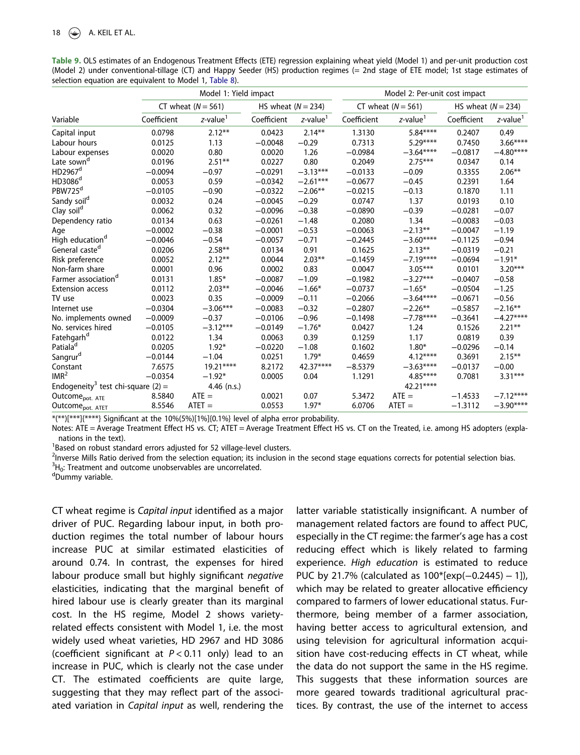<span id="page-18-0"></span>

| Table 9. OLS estimates of an Endogenous Treatment Effects (ETE) regression explaining wheat yield (Model 1) and per-unit production cost |  |  |
|------------------------------------------------------------------------------------------------------------------------------------------|--|--|
| (Model 2) under conventional-tillage (CT) and Happy Seeder (HS) production regimes (= 2nd stage of ETE model; 1st stage estimates of     |  |  |
| selection equation are equivalent to Model 1. Table 8).                                                                                  |  |  |

| Model 1: Yield impact<br>Model 2: Per-unit cost impact |             |                         |                      |                |             |                      |                      |                |
|--------------------------------------------------------|-------------|-------------------------|----------------------|----------------|-------------|----------------------|----------------------|----------------|
|                                                        |             | CT wheat $(N = 561)$    | HS wheat $(N = 234)$ |                |             | CT wheat $(N = 561)$ | HS wheat $(N = 234)$ |                |
| Variable                                               | Coefficient | $z$ -value <sup>1</sup> | Coefficient          | $z$ -value $1$ | Coefficient | $z$ -value $1$       | Coefficient          | $z$ -value $1$ |
| Capital input                                          | 0.0798      | $2.12***$               | 0.0423               | $2.14***$      | 1.3130      | $5.84***$            | 0.2407               | 0.49           |
| Labour hours                                           | 0.0125      | 1.13                    | $-0.0048$            | $-0.29$        | 0.7313      | $5.29***$            | 0.7450               | $3.66***$      |
| Labour expenses                                        | 0.0020      | 0.80                    | 0.0020               | 1.26           | $-0.0984$   | $-3.64***$           | $-0.0817$            | $-4.80***$     |
| Late sown <sup>d</sup>                                 | 0.0196      | $2.51***$               | 0.0227               | 0.80           | 0.2049      | $2.75***$            | 0.0347               | 0.14           |
| HD2967 <sup>d</sup>                                    | $-0.0094$   | $-0.97$                 | $-0.0291$            | $-3.13***$     | $-0.0133$   | $-0.09$              | 0.3355               | $2.06***$      |
| HD3086 <sup>d</sup>                                    | 0.0053      | 0.59                    | $-0.0342$            | $-2.61***$     | $-0.0677$   | $-0.45$              | 0.2391               | 1.64           |
| PBW725 <sup>d</sup>                                    | $-0.0105$   | $-0.90$                 | $-0.0322$            | $-2.06**$      | $-0.0215$   | $-0.13$              | 0.1870               | 1.11           |
| Sandy soil <sup>d</sup>                                | 0.0032      | 0.24                    | $-0.0045$            | $-0.29$        | 0.0747      | 1.37                 | 0.0193               | 0.10           |
| Clay soil <sup>d</sup>                                 | 0.0062      | 0.32                    | $-0.0096$            | $-0.38$        | $-0.0890$   | $-0.39$              | $-0.0281$            | $-0.07$        |
| Dependency ratio                                       | 0.0134      | 0.63                    | $-0.0261$            | $-1.48$        | 0.2080      | 1.34                 | $-0.0083$            | $-0.03$        |
| Age                                                    | $-0.0002$   | $-0.38$                 | $-0.0001$            | $-0.53$        | $-0.0063$   | $-2.13**$            | $-0.0047$            | $-1.19$        |
| High education <sup>d</sup>                            | $-0.0046$   | $-0.54$                 | $-0.0057$            | $-0.71$        | $-0.2445$   | $-3.60***$           | $-0.1125$            | $-0.94$        |
| General caste <sup>d</sup>                             | 0.0206      | $2.58***$               | 0.0134               | 0.91           | 0.1625      | $2.13***$            | $-0.0319$            | $-0.21$        |
| Risk preference                                        | 0.0052      | $2.12***$               | 0.0044               | $2.03***$      | $-0.1459$   | $-7.19***$           | $-0.0694$            | $-1.91*$       |
| Non-farm share                                         | 0.0001      | 0.96                    | 0.0002               | 0.83           | 0.0047      | $3.05***$            | 0.0101               | $3.20***$      |
| Farmer association <sup>d</sup>                        | 0.0131      | $1.85*$                 | $-0.0087$            | $-1.09$        | $-0.1982$   | $-3.27***$           | $-0.0407$            | $-0.58$        |
| <b>Extension access</b>                                | 0.0112      | $2.03***$               | $-0.0046$            | $-1.66*$       | $-0.0737$   | $-1.65*$             | $-0.0504$            | $-1.25$        |
| TV use                                                 | 0.0023      | 0.35                    | $-0.0009$            | $-0.11$        | $-0.2066$   | $-3.64***$           | $-0.0671$            | $-0.56$        |
| Internet use                                           | $-0.0304$   | $-3.06***$              | $-0.0083$            | $-0.32$        | $-0.2807$   | $-2.26**$            | $-0.5857$            | $-2.16***$     |
| No. implements owned                                   | $-0.0009$   | $-0.37$                 | $-0.0106$            | $-0.96$        | $-0.1498$   | $-7.78***$           | $-0.3641$            | $-4.27***$     |
| No. services hired                                     | $-0.0105$   | $-3.12***$              | $-0.0149$            | $-1.76*$       | 0.0427      | 1.24                 | 0.1526               | $2.21***$      |
| Fatehgarh <sup>d</sup>                                 | 0.0122      | 1.34                    | 0.0063               | 0.39           | 0.1259      | 1.17                 | 0.0819               | 0.39           |
| Patiala <sup>d</sup>                                   | 0.0205      | $1.92*$                 | $-0.0220$            | $-1.08$        | 0.1602      | $1.80*$              | $-0.0296$            | $-0.14$        |
| Sangrur <sup>a</sup>                                   | $-0.0144$   | $-1.04$                 | 0.0251               | $1.79*$        | 0.4659      | $4.12***$            | 0.3691               | $2.15***$      |
| Constant                                               | 7.6575      | $19.21***$              | 8.2172               | 42.37****      | $-8.5379$   | $-3.63***$           | $-0.0137$            | $-0.00$        |
| IMR <sup>2</sup>                                       | $-0.0354$   | $-1.92*$                | 0.0005               | 0.04           | 1.1291      | 4.85****             | 0.7081               | $3.31***$      |
| Endogeneity <sup>3</sup> test chi-square (2) =         |             | $4.46$ (n.s.)           |                      |                |             | 42.21****            |                      |                |
| Outcome <sub>pot. ATE</sub>                            | 8.5840      | $ATE =$                 | 0.0021               | 0.07           | 5.3472      | $ATE =$              | $-1.4533$            | $-7.12***$     |
| Outcome <sub>pot. ATET</sub>                           | 8.5546      | $ATET =$                | 0.0553               | $1.97*$        | 6.0706      | $ATET =$             | $-1.3112$            | $-3.90***$     |

\*(\*\*)[\*\*\*]{\*\*\*\*} Significant at the 10%(5%)[1%]{0.1%} level of alpha error probability.

Notes: ATE = Average Treatment Effect HS vs. CT; ATET = Average Treatment Effect HS vs. CT on the Treated, i.e. among HS adopters (explanations in the text).

<sup>1</sup>Based on robust standard errors adjusted for 52 village-level clusters.

<sup>2</sup>Inverse Mills Ratio derived from the selection equation; its inclusion in the second stage equations corrects for potential selection bias.  ${}^{3}\text{H}_0$ : Treatment and outcome unobservables are uncorrelated.

dDummy variable.

CT wheat regime is *Capital input* identified as a major driver of PUC. Regarding labour input, in both production regimes the total number of labour hours increase PUC at similar estimated elasticities of around 0.74. In contrast, the expenses for hired labour produce small but highly significant *negative* elasticities, indicating that the marginal benefit of hired labour use is clearly greater than its marginal cost. In the HS regime, Model 2 shows varietyrelated effects consistent with Model 1, i.e. the most widely used wheat varieties, HD 2967 and HD 3086 (coefficient significant at *P* < 0.11 only) lead to an increase in PUC, which is clearly not the case under CT. The estimated coefficients are quite large, suggesting that they may reflect part of the associated variation in *Capital input* as well, rendering the

latter variable statistically insignificant. A number of management related factors are found to affect PUC, especially in the CT regime: the farmer's age has a cost reducing effect which is likely related to farming experience. *High education* is estimated to reduce PUC by 21.7% (calculated as 100\*[exp(-0.2445) – 1]), which may be related to greater allocative efficiency compared to farmers of lower educational status. Furthermore, being member of a farmer association, having better access to agricultural extension, and using television for agricultural information acquisition have cost-reducing effects in CT wheat, while the data do not support the same in the HS regime. This suggests that these information sources are more geared towards traditional agricultural practices. By contrast, the use of the internet to access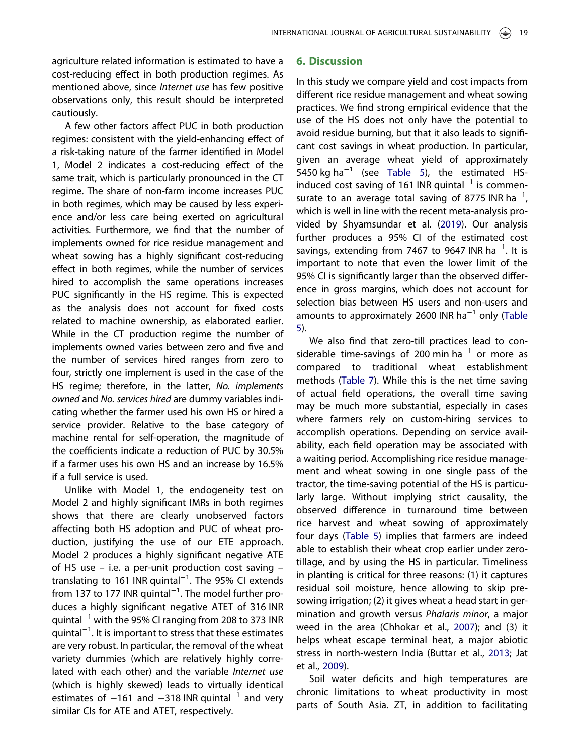agriculture related information is estimated to have a cost-reducing effect in both production regimes. As mentioned above, since *Internet use* has few positive observations only, this result should be interpreted cautiously.

A few other factors affect PUC in both production regimes: consistent with the yield-enhancing effect of a risk-taking nature of the farmer identified in Model 1, Model 2 indicates a cost-reducing effect of the same trait, which is particularly pronounced in the CT regime. The share of non-farm income increases PUC in both regimes, which may be caused by less experience and/or less care being exerted on agricultural activities. Furthermore, we find that the number of implements owned for rice residue management and wheat sowing has a highly significant cost-reducing effect in both regimes, while the number of services hired to accomplish the same operations increases PUC significantly in the HS regime. This is expected as the analysis does not account for fixed costs related to machine ownership, as elaborated earlier. While in the CT production regime the number of implements owned varies between zero and five and the number of services hired ranges from zero to four, strictly one implement is used in the case of the HS regime; therefore, in the latter, *No. implements owned* and *No. services hired* are dummy variables indicating whether the farmer used his own HS or hired a service provider. Relative to the base category of machine rental for self-operation, the magnitude of the coefficients indicate a reduction of PUC by 30.5% if a farmer uses his own HS and an increase by 16.5% if a full service is used.

Unlike with Model 1, the endogeneity test on Model 2 and highly significant IMRs in both regimes shows that there are clearly unobserved factors affecting both HS adoption and PUC of wheat production, justifying the use of our ETE approach. Model 2 produces a highly significant negative ATE of HS use – i.e. a per-unit production cost saving – translating to 161 INR quintal−<sup>1</sup> . The 95% CI extends from 137 to 177 INR quintal−<sup>1</sup> . The model further produces a highly significant negative ATET of 316 INR quintal<sup>-1</sup> with the 95% CI ranging from 208 to 373 INR .<br>quintal<sup>-1</sup>. It is important to stress that these estimates are very robust. In particular, the removal of the wheat variety dummies (which are relatively highly correlated with each other) and the variable *Internet use* (which is highly skewed) leads to virtually identical estimates of  $-161$  and  $-318$  INR quintal<sup>-1</sup> and very similar CIs for ATE and ATET, respectively.

#### 6. Discussion

In this study we compare yield and cost impacts from different rice residue management and wheat sowing practices. We find strong empirical evidence that the use of the HS does not only have the potential to avoid residue burning, but that it also leads to significant cost savings in wheat production. In particular, given an average wheat yield of approximately 5450 kg ha−<sup>1</sup> (see [Table 5\)](#page-13-0), the estimated HSinduced cost saving of 161 INR quintal−<sup>1</sup> is commensurate to an average total saving of 8775 INR  $ha^{-1}$ , which is well in line with the recent meta-analysis provided by Shyamsundar et al. ([2019](#page-24-9)). Our analysis further produces a 95% CI of the estimated cost savings, extending from 7467 to 9647 INR ha<sup>-1</sup>. It is important to note that even the lower limit of the 95% CI is significantly larger than the observed difference in gross margins, which does not account for selection bias between HS users and non-users and amounts to approximately 2600 INR  $\text{ha}^{-1}$  only [\(Table](#page-13-0) [5\)](#page-13-0).

We also find that zero-till practices lead to considerable time-savings of 200 min ha<sup>-1</sup> or more as compared to traditional wheat establishment methods [\(Table 7\)](#page-14-1). While this is the net time saving of actual field operations, the overall time saving may be much more substantial, especially in cases where farmers rely on custom-hiring services to accomplish operations. Depending on service availability, each field operation may be associated with a waiting period. Accomplishing rice residue management and wheat sowing in one single pass of the tractor, the time-saving potential of the HS is particularly large. Without implying strict causality, the observed difference in turnaround time between rice harvest and wheat sowing of approximately four days [\(Table 5\)](#page-13-0) implies that farmers are indeed able to establish their wheat crop earlier under zerotillage, and by using the HS in particular. Timeliness in planting is critical for three reasons: (1) it captures residual soil moisture, hence allowing to skip presowing irrigation; (2) it gives wheat a head start in germination and growth versus *Phalaris minor*, a major weed in the area (Chhokar et al., [2007\)](#page-22-18); and (3) it helps wheat escape terminal heat, a major abiotic stress in north-western India (Buttar et al., [2013;](#page-22-19) Jat et al., [2009\)](#page-23-30).

<span id="page-19-2"></span><span id="page-19-1"></span><span id="page-19-0"></span>Soil water deficits and high temperatures are chronic limitations to wheat productivity in most parts of South Asia. ZT, in addition to facilitating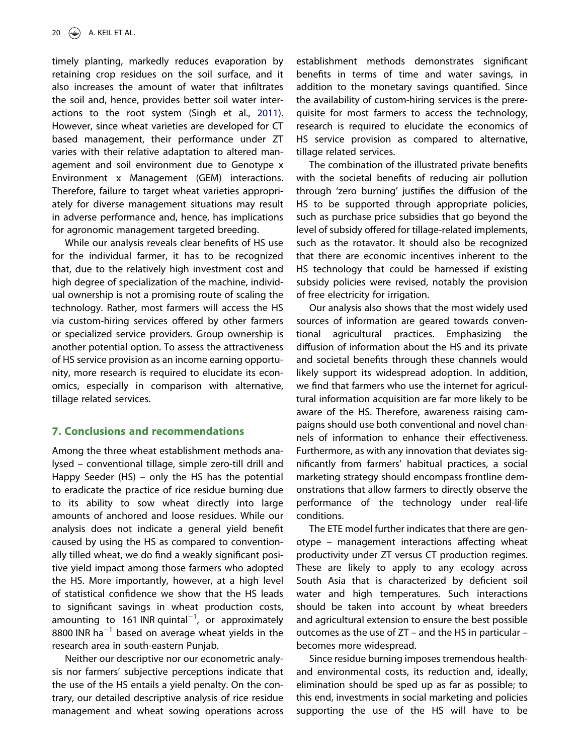<span id="page-20-0"></span>timely planting, markedly reduces evaporation by retaining crop residues on the soil surface, and it also increases the amount of water that infiltrates the soil and, hence, provides better soil water interactions to the root system (Singh et al., [2011](#page-24-22)). However, since wheat varieties are developed for CT based management, their performance under ZT varies with their relative adaptation to altered management and soil environment due to Genotype x Environment x Management (GEM) interactions. Therefore, failure to target wheat varieties appropriately for diverse management situations may result in adverse performance and, hence, has implications for agronomic management targeted breeding.

While our analysis reveals clear benefits of HS use for the individual farmer, it has to be recognized that, due to the relatively high investment cost and high degree of specialization of the machine, individual ownership is not a promising route of scaling the technology. Rather, most farmers will access the HS via custom-hiring services offered by other farmers or specialized service providers. Group ownership is another potential option. To assess the attractiveness of HS service provision as an income earning opportunity, more research is required to elucidate its economics, especially in comparison with alternative, tillage related services.

#### 7. Conclusions and recommendations

Among the three wheat establishment methods analysed – conventional tillage, simple zero-till drill and Happy Seeder (HS) – only the HS has the potential to eradicate the practice of rice residue burning due to its ability to sow wheat directly into large amounts of anchored and loose residues. While our analysis does not indicate a general yield benefit caused by using the HS as compared to conventionally tilled wheat, we do find a weakly significant positive yield impact among those farmers who adopted the HS. More importantly, however, at a high level of statistical confidence we show that the HS leads to significant savings in wheat production costs, amounting to 161 INR quintal−<sup>1</sup> , or approximately 8800 INR ha−<sup>1</sup> based on average wheat yields in the research area in south-eastern Punjab.

Neither our descriptive nor our econometric analysis nor farmers' subjective perceptions indicate that the use of the HS entails a yield penalty. On the contrary, our detailed descriptive analysis of rice residue management and wheat sowing operations across

establishment methods demonstrates significant benefits in terms of time and water savings, in addition to the monetary savings quantified. Since the availability of custom-hiring services is the prerequisite for most farmers to access the technology, research is required to elucidate the economics of HS service provision as compared to alternative, tillage related services.

The combination of the illustrated private benefits with the societal benefits of reducing air pollution through 'zero burning' justifies the diffusion of the HS to be supported through appropriate policies, such as purchase price subsidies that go beyond the level of subsidy offered for tillage-related implements, such as the rotavator. It should also be recognized that there are economic incentives inherent to the HS technology that could be harnessed if existing subsidy policies were revised, notably the provision of free electricity for irrigation.

Our analysis also shows that the most widely used sources of information are geared towards conventional agricultural practices. Emphasizing the diffusion of information about the HS and its private and societal benefits through these channels would likely support its widespread adoption. In addition, we find that farmers who use the internet for agricultural information acquisition are far more likely to be aware of the HS. Therefore, awareness raising campaigns should use both conventional and novel channels of information to enhance their effectiveness. Furthermore, as with any innovation that deviates significantly from farmers' habitual practices, a social marketing strategy should encompass frontline demonstrations that allow farmers to directly observe the performance of the technology under real-life conditions.

The ETE model further indicates that there are genotype – management interactions affecting wheat productivity under ZT versus CT production regimes. These are likely to apply to any ecology across South Asia that is characterized by deficient soil water and high temperatures. Such interactions should be taken into account by wheat breeders and agricultural extension to ensure the best possible outcomes as the use of ZT – and the HS in particular – becomes more widespread.

Since residue burning imposes tremendous healthand environmental costs, its reduction and, ideally, elimination should be sped up as far as possible; to this end, investments in social marketing and policies supporting the use of the HS will have to be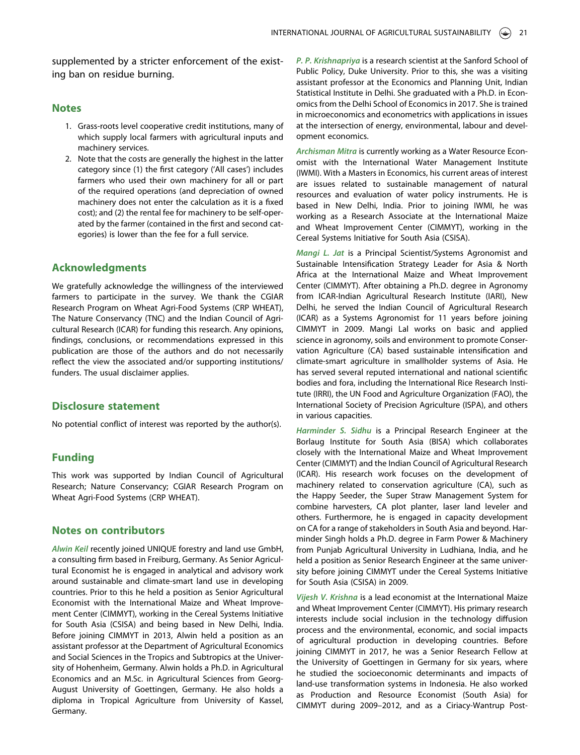supplemented by a stricter enforcement of the existing ban on residue burning.

#### <span id="page-21-0"></span>**Notes**

- 1. Grass-roots level cooperative credit institutions, many of which supply local farmers with agricultural inputs and machinery services.
- <span id="page-21-1"></span>2. Note that the costs are generally the highest in the latter category since (1) the first category ('All cases') includes farmers who used their own machinery for all or part of the required operations (and depreciation of owned machinery does not enter the calculation as it is a fixed cost); and (2) the rental fee for machinery to be self-operated by the farmer (contained in the first and second categories) is lower than the fee for a full service.

## Acknowledgments

We gratefully acknowledge the willingness of the interviewed farmers to participate in the survey. We thank the CGIAR Research Program on Wheat Agri-Food Systems (CRP WHEAT), The Nature Conservancy (TNC) and the Indian Council of Agricultural Research (ICAR) for funding this research. Any opinions, findings, conclusions, or recommendations expressed in this publication are those of the authors and do not necessarily reflect the view the associated and/or supporting institutions/ funders. The usual disclaimer applies.

#### Disclosure statement

No potential conflict of interest was reported by the author(s).

#### Funding

This work was supported by Indian Council of Agricultural Research; Nature Conservancy; CGIAR Research Program on Wheat Agri-Food Systems (CRP WHEAT).

## Notes on contributors

Alwin Keil recently joined UNIQUE forestry and land use GmbH, a consulting firm based in Freiburg, Germany. As Senior Agricultural Economist he is engaged in analytical and advisory work around sustainable and climate-smart land use in developing countries. Prior to this he held a position as Senior Agricultural Economist with the International Maize and Wheat Improvement Center (CIMMYT), working in the Cereal Systems Initiative for South Asia (CSISA) and being based in New Delhi, India. Before joining CIMMYT in 2013, Alwin held a position as an assistant professor at the Department of Agricultural Economics and Social Sciences in the Tropics and Subtropics at the University of Hohenheim, Germany. Alwin holds a Ph.D. in Agricultural Economics and an M.Sc. in Agricultural Sciences from Georg-August University of Goettingen, Germany. He also holds a diploma in Tropical Agriculture from University of Kassel, Germany.

P. P. Krishnapriya is a research scientist at the Sanford School of Public Policy, Duke University. Prior to this, she was a visiting assistant professor at the Economics and Planning Unit, Indian Statistical Institute in Delhi. She graduated with a Ph.D. in Economics from the Delhi School of Economics in 2017. She is trained in microeconomics and econometrics with applications in issues at the intersection of energy, environmental, labour and development economics.

Archisman Mitra is currently working as a Water Resource Economist with the International Water Management Institute (IWMI). With a Masters in Economics, his current areas of interest are issues related to sustainable management of natural resources and evaluation of water policy instruments. He is based in New Delhi, India. Prior to joining IWMI, he was working as a Research Associate at the International Maize and Wheat Improvement Center (CIMMYT), working in the Cereal Systems Initiative for South Asia (CSISA).

Mangi L. Jat is a Principal Scientist/Systems Agronomist and Sustainable Intensification Strategy Leader for Asia & North Africa at the International Maize and Wheat Improvement Center (CIMMYT). After obtaining a Ph.D. degree in Agronomy from ICAR-Indian Agricultural Research Institute (IARI), New Delhi, he served the Indian Council of Agricultural Research (ICAR) as a Systems Agronomist for 11 years before joining CIMMYT in 2009. Mangi Lal works on basic and applied science in agronomy, soils and environment to promote Conservation Agriculture (CA) based sustainable intensification and climate-smart agriculture in smallholder systems of Asia. He has served several reputed international and national scientific bodies and fora, including the International Rice Research Institute (IRRI), the UN Food and Agriculture Organization (FAO), the International Society of Precision Agriculture (ISPA), and others in various capacities.

Harminder S. Sidhu is a Principal Research Engineer at the Borlaug Institute for South Asia (BISA) which collaborates closely with the International Maize and Wheat Improvement Center (CIMMYT) and the Indian Council of Agricultural Research (ICAR). His research work focuses on the development of machinery related to conservation agriculture (CA), such as the Happy Seeder, the Super Straw Management System for combine harvesters, CA plot planter, laser land leveler and others. Furthermore, he is engaged in capacity development on CA for a range of stakeholders in South Asia and beyond. Harminder Singh holds a Ph.D. degree in Farm Power & Machinery from Punjab Agricultural University in Ludhiana, India, and he held a position as Senior Research Engineer at the same university before joining CIMMYT under the Cereal Systems Initiative for South Asia (CSISA) in 2009.

Vijesh V. Krishna is a lead economist at the International Maize and Wheat Improvement Center (CIMMYT). His primary research interests include social inclusion in the technology diffusion process and the environmental, economic, and social impacts of agricultural production in developing countries. Before joining CIMMYT in 2017, he was a Senior Research Fellow at the University of Goettingen in Germany for six years, where he studied the socioeconomic determinants and impacts of land-use transformation systems in Indonesia. He also worked as Production and Resource Economist (South Asia) for CIMMYT during 2009–2012, and as a Ciriacy-Wantrup Post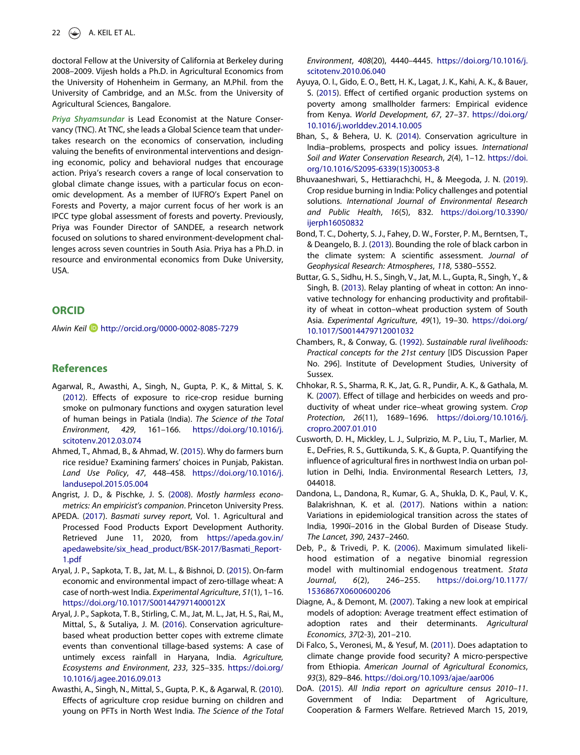22  $\left(\frac{1}{2}\right)$  A. KEIL ET AL.

doctoral Fellow at the University of California at Berkeley during 2008–2009. Vijesh holds a Ph.D. in Agricultural Economics from the University of Hohenheim in Germany, an M.Phil. from the University of Cambridge, and an M.Sc. from the University of Agricultural Sciences, Bangalore.

Priya Shyamsundar is Lead Economist at the Nature Conservancy (TNC). At TNC, she leads a Global Science team that undertakes research on the economics of conservation, including valuing the benefits of environmental interventions and designing economic, policy and behavioral nudges that encourage action. Priya's research covers a range of local conservation to global climate change issues, with a particular focus on economic development. As a member of IUFRO's Expert Panel on Forests and Poverty, a major current focus of her work is an IPCC type global assessment of forests and poverty. Previously, Priya was Founder Director of SANDEE, a research network focused on solutions to shared environment-development challenges across seven countries in South Asia. Priya has a Ph.D. in resource and environmental economics from Duke University, USA.

## **ORCID**

*Alwin Keil* <http://orcid.org/0000-0002-8085-7279>

## References

- <span id="page-22-1"></span>Agarwal, R., Awasthi, A., Singh, N., Gupta, P. K., & Mittal, S. K. [\(2012\)](#page-1-0). Effects of exposure to rice-crop residue burning smoke on pulmonary functions and oxygen saturation level of human beings in Patiala (India). *The Science of the Total Environment*, *429*, 161–166. [https://doi.org/10.1016/j.](https://doi.org/10.1016/j.scitotenv.2012.03.074) [scitotenv.2012.03.074](https://doi.org/10.1016/j.scitotenv.2012.03.074)
- <span id="page-22-5"></span>Ahmed, T., Ahmad, B., & Ahmad, W. [\(2015\)](#page-2-0). Why do farmers burn rice residue? Examining farmers' choices in Punjab, Pakistan. *Land Use Policy*, *47*, 448–458. [https://doi.org/10.1016/j.](https://doi.org/10.1016/j.landusepol.2015.05.004) [landusepol.2015.05.004](https://doi.org/10.1016/j.landusepol.2015.05.004)
- <span id="page-22-12"></span>Angrist, J. D., & Pischke, J. S. ([2008](#page-5-0)). *Mostly harmless econometrics: An empiricist*'*s companion*. Princeton University Press.
- <span id="page-22-10"></span>APEDA. ([2017](#page-4-0)). *Basmati survey report*, Vol. 1. Agricultural and Processed Food Products Export Development Authority. Retrieved June 11, 2020, from [https://apeda.gov.in/](https://apeda.gov.in/apedawebsite/six_head_product/BSK-2017/Basmati_Report-1.pdf) [apedawebsite/six\\_head\\_product/BSK-2017/Basmati\\_Report-](https://apeda.gov.in/apedawebsite/six_head_product/BSK-2017/Basmati_Report-1.pdf)[1.pdf](https://apeda.gov.in/apedawebsite/six_head_product/BSK-2017/Basmati_Report-1.pdf)
- <span id="page-22-17"></span>Aryal, J. P., Sapkota, T. B., Jat, M. L., & Bishnoi, D. ([2015\)](#page-16-0). On-farm economic and environmental impact of zero-tillage wheat: A case of north-west India. *Experimental Agriculture*, *51*(1), 1–16. <https://doi.org/10.1017/S001447971400012X>
- <span id="page-22-8"></span>Aryal, J. P., Sapkota, T. B., Stirling, C. M., Jat, M. L., Jat, H. S., Rai, M., Mittal, S., & Sutaliya, J. M. (2016). Conservation agriculturebased wheat production better copes with extreme climate events than conventional tillage-based systems: A case of untimely excess rainfall in Haryana, India. *Agriculture, Ecosystems and Environment*, *233*, 325–335. [https://doi.org/](https://doi.org/10.1016/j.agee.2016.09.013) [10.1016/j.agee.2016.09.013](https://doi.org/10.1016/j.agee.2016.09.013)
- <span id="page-22-2"></span>Awasthi, A., Singh, N., Mittal, S., Gupta, P. K., & Agarwal, R. ([2010\)](#page-1-0). Effects of agriculture crop residue burning on children and young on PFTs in North West India. *The Science of the Total*

*Environment*, *408*(20), 4440–4445. [https://doi.org/10.1016/j.](https://doi.org/10.1016/j.scitotenv.2010.06.040) [scitotenv.2010.06.040](https://doi.org/10.1016/j.scitotenv.2010.06.040)

- <span id="page-22-16"></span>Ayuya, O. I., Gido, E. O., Bett, H. K., Lagat, J. K., Kahi, A. K., & Bauer, S. ([2015](#page-9-0)). Effect of certified organic production systems on poverty among smallholder farmers: Empirical evidence from Kenya. *World Development*, *67*, 27–37. [https://doi.org/](https://doi.org/10.1016/j.worlddev.2014.10.005) [10.1016/j.worlddev.2014.10.005](https://doi.org/10.1016/j.worlddev.2014.10.005)
- <span id="page-22-7"></span>Bhan, S., & Behera, U. K. ([2014\)](#page-2-1). Conservation agriculture in India–problems, prospects and policy issues. *International Soil and Water Conservation Research*, *2*(4), 1–12. [https://doi.](https://doi.org/10.1016/S2095-6339(15)30053-8) [org/10.1016/S2095-6339\(15\)30053-8](https://doi.org/10.1016/S2095-6339(15)30053-8)
- <span id="page-22-6"></span>Bhuvaaneshwari, S., Hettiarachchi, H., & Meegoda, J. N. [\(2019\)](#page-2-2). Crop residue burning in India: Policy challenges and potential solutions. *International Journal of Environmental Research and Public Health*, *16*(5), 832. [https://doi.org/10.3390/](https://doi.org/10.3390/ijerph16050832) [ijerph16050832](https://doi.org/10.3390/ijerph16050832)
- <span id="page-22-4"></span>Bond, T. C., Doherty, S. J., Fahey, D. W., Forster, P. M., Berntsen, T., & Deangelo, B. J. [\(2013\)](#page-2-3). Bounding the role of black carbon in the climate system: A scientific assessment. *Journal of Geophysical Research: Atmospheres*, *118*, 5380–5552.
- <span id="page-22-19"></span>Buttar, G. S., Sidhu, H. S., Singh, V., Jat, M. L., Gupta, R., Singh, Y., & Singh, B. ([2013](#page-19-0)). Relay planting of wheat in cotton: An innovative technology for enhancing productivity and profitability of wheat in cotton–wheat production system of South Asia. *Experimental Agriculture*, *49*(1), 19–30. [https://doi.org/](https://doi.org/10.1017/S0014479712001032) [10.1017/S0014479712001032](https://doi.org/10.1017/S0014479712001032)
- <span id="page-22-15"></span>Chambers, R., & Conway, G. [\(1992\)](#page-7-0). *Sustainable rural livelihoods: Practical concepts for the 21st century* [IDS Discussion Paper No. 296]. Institute of Development Studies, University of Sussex.
- <span id="page-22-18"></span>Chhokar, R. S., Sharma, R. K., Jat, G. R., Pundir, A. K., & Gathala, M. K. ([2007](#page-19-1)). Effect of tillage and herbicides on weeds and productivity of wheat under rice–wheat growing system. *Crop Protection*, *26*(11), 1689–1696. [https://doi.org/10.1016/j.](https://doi.org/10.1016/j.cropro.2007.01.010) [cropro.2007.01.010](https://doi.org/10.1016/j.cropro.2007.01.010)
- <span id="page-22-3"></span>Cusworth, D. H., Mickley, L. J., Sulprizio, M. P., Liu, T., Marlier, M. E., DeFries, R. S., Guttikunda, S. K., & Gupta, P. Quantifying the influence of agricultural fires in northwest India on urban pollution in Delhi, India. Environmental Research Letters, *13*, 044018.
- <span id="page-22-0"></span>Dandona, L., Dandona, R., Kumar, G. A., Shukla, D. K., Paul, V. K., Balakrishnan, K. et al. ([2017](#page-1-1)). Nations within a nation: Variations in epidemiological transition across the states of India, 1990ï–2016 in the Global Burden of Disease Study. *The Lancet*, *390*, 2437–2460.
- <span id="page-22-13"></span>Deb, P., & Trivedi, P. K. ([2006\)](#page-6-0). Maximum simulated likelihood estimation of a negative binomial regression model with multinomial endogenous treatment. *Stata Journal*, *6*(2), 246–255. [https://doi.org/10.1177/](https://doi.org/10.1177/1536867X0600600206) [1536867X0600600206](https://doi.org/10.1177/1536867X0600600206)
- <span id="page-22-11"></span>Diagne, A., & Demont, M. [\(2007\)](#page-4-1). Taking a new look at empirical models of adoption: Average treatment effect estimation of adoption rates and their determinants. *Agricultural Economics*, *37*(2-3), 201–210.
- <span id="page-22-14"></span>Di Falco, S., Veronesi, M., & Yesuf, M. [\(2011\)](#page-6-1). Does adaptation to climate change provide food security? A micro-perspective from Ethiopia. *American Journal of Agricultural Economics*, *93*(3), 829–846. <https://doi.org/10.1093/ajae/aar006>
- <span id="page-22-9"></span>DoA. ([2015](#page-3-0)). *All India report on agriculture census 2010*–*11*. Government of India: Department of Agriculture, Cooperation & Farmers Welfare. Retrieved March 15, 2019,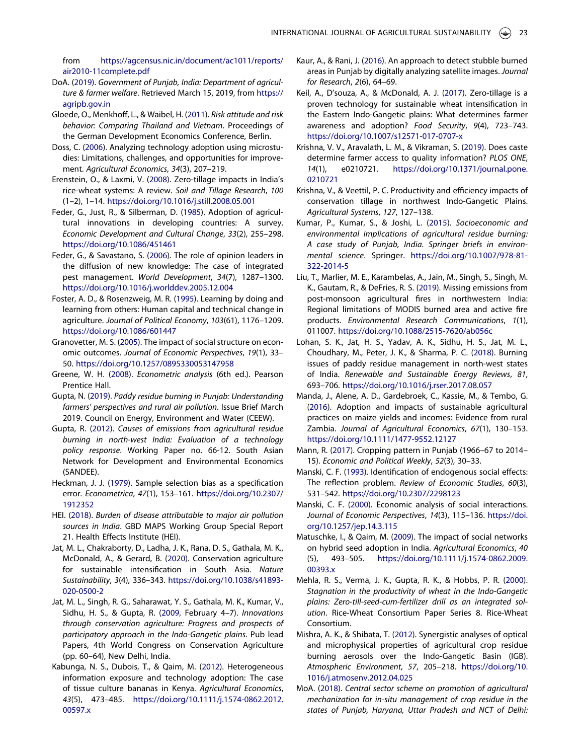from [https://agcensus.nic.in/document/ac1011/reports/](https://agcensus.nic.in/document/ac1011/reports/air2010-11complete.pdf) [air2010-11complete.pdf](https://agcensus.nic.in/document/ac1011/reports/air2010-11complete.pdf)

- <span id="page-23-15"></span>DoA. ([2019\)](#page-4-2). *Government of Punjab, India: Department of agriculture & farmer welfare*. Retrieved March 15, 2019, from [https://](https://agripb.gov.in) [agripb.gov.in](https://agripb.gov.in)
- <span id="page-23-28"></span>Gloede, O., Menkhoff, L., & Waibel, H. [\(2011\)](#page-7-1). *Risk attitude and risk behavior: Comparing Thailand and Vietnam*. Proceedings of the German Development Economics Conference, Berlin.
- <span id="page-23-27"></span>Doss, C. ([2006](#page-7-2)). Analyzing technology adoption using microstudies: Limitations, challenges, and opportunities for improvement. *Agricultural Economics*, *34*(3), 207–219.
- <span id="page-23-7"></span>Erenstein, O., & Laxmi, V. ([2008](#page-3-1)). Zero-tillage impacts in India's rice-wheat systems: A review. *Soil and Tillage Research*, *100* (1–2), 1–14. <https://doi.org/10.1016/j.still.2008.05.001>
- <span id="page-23-18"></span>Feder, G., Just, R., & Silberman, D. [\(1985\)](#page-5-1). Adoption of agricultural innovations in developing countries: A survey. *Economic Development and Cultural Change*, *33*(2), 255–298. <https://doi.org/10.1086/451461>
- <span id="page-23-19"></span>Feder, G., & Savastano, S. [\(2006](#page-5-2)). The role of opinion leaders in the diffusion of new knowledge: The case of integrated pest management. *World Development*, *34*(7), 1287–1300. <https://doi.org/10.1016/j.worlddev.2005.12.004>
- <span id="page-23-20"></span>Foster, A. D., & Rosenzweig, M. R. ([1995](#page-5-3)). Learning by doing and learning from others: Human capital and technical change in agriculture. *Journal of Political Economy*, *103*(61), 1176–1209. <https://doi.org/10.1086/601447>
- <span id="page-23-21"></span>Granovetter, M. S. ([2005](#page-5-3)). The impact of social structure on economic outcomes. *Journal of Economic Perspectives*, *19*(1), 33– 50. <https://doi.org/10.1257/0895330053147958>
- <span id="page-23-24"></span>Greene, W. H. ([2008](#page-6-2)). *Econometric analysis* (6th ed.). Pearson Prentice Hall.
- <span id="page-23-6"></span>Gupta, N. [\(2019\)](#page-2-4). *Paddy residue burning in Punjab: Understanding farmers*' *perspectives and rural air pollution*. Issue Brief March 2019. Council on Energy, Environment and Water (CEEW).
- <span id="page-23-13"></span>Gupta, R. [\(2012\)](#page-3-2). *Causes of emissions from agricultural residue burning in north-west India: Evaluation of a technology policy response*. Working Paper no. 66-12. South Asian Network for Development and Environmental Economics (SANDEE).
- <span id="page-23-17"></span>Heckman, J. J. ([1979](#page-5-4)). Sample selection bias as a specification error. *Econometrica*, *47*(1), 153–161. [https://doi.org/10.2307/](https://doi.org/10.2307/1912352) [1912352](https://doi.org/10.2307/1912352)
- <span id="page-23-1"></span>HEI. ([2018](#page-2-5)). *Burden of disease attributable to major air pollution sources in India*. GBD MAPS Working Group Special Report 21. Health Effects Institute (HEI).
- <span id="page-23-9"></span>Jat, M. L., Chakraborty, D., Ladha, J. K., Rana, D. S., Gathala, M. K., McDonald, A., & Gerard, B. ([2020](#page-3-1)). Conservation agriculture for sustainable intensification in South Asia. *Nature Sustainability*, *3*(4), 336–343. [https://doi.org/10.1038/s41893-](https://doi.org/10.1038/s41893-020-0500-2) [020-0500-2](https://doi.org/10.1038/s41893-020-0500-2)
- <span id="page-23-30"></span>Jat, M. L., Singh, R. G., Saharawat, Y. S., Gathala, M. K., Kumar, V., Sidhu, H. S., & Gupta, R. [\(2009,](#page-19-2) February 4–7). *Innovations through conservation agriculture: Progress and prospects of participatory approach in the Indo-Gangetic plains*. Pub lead Papers, 4th World Congress on Conservation Agriculture (pp. 60–64), New Delhi, India.
- <span id="page-23-16"></span>Kabunga, N. S., Dubois, T., & Qaim, M. ([2012\)](#page-5-5). Heterogeneous information exposure and technology adoption: The case of tissue culture bananas in Kenya. *Agricultural Economics*, *43*(5), 473–485. [https://doi.org/10.1111/j.1574-0862.2012.](https://doi.org/10.1111/j.1574-0862.2012.00597.x) [00597.x](https://doi.org/10.1111/j.1574-0862.2012.00597.x)
- <span id="page-23-14"></span>Kaur, A., & Rani, J. [\(2016\)](#page-4-3). An approach to detect stubble burned areas in Punjab by digitally analyzing satellite images. *Journal for Research*, *2*(6), 64–69.
- <span id="page-23-10"></span>Keil, A., D'souza, A., & McDonald, A. J. ([2017](#page-3-1)). Zero-tillage is a proven technology for sustainable wheat intensification in the Eastern Indo-Gangetic plains: What determines farmer awareness and adoption? *Food Security*, *9*(4), 723–743. <https://doi.org/10.1007/s12571-017-0707-x>
- <span id="page-23-25"></span>Krishna, V. V., Aravalath, L. M., & Vikraman, S. ([2019](#page-6-3)). Does caste determine farmer access to quality information? *PLOS ONE*, *14*(1), e0210721. [https://doi.org/10.1371/journal.pone.](https://doi.org/10.1371/journal.pone.0210721) [0210721](https://doi.org/10.1371/journal.pone.0210721)
- <span id="page-23-11"></span>Krishna, V., & Veettil, P. C. Productivity and efficiency impacts of conservation tillage in northwest Indo-Gangetic Plains. *Agricultural Systems*, *127*, 127–138.
- <span id="page-23-4"></span>Kumar, P., Kumar, S., & Joshi, L. ([2015](#page-2-6)). *Socioeconomic and environmental implications of agricultural residue burning: A case study of Punjab, India. Springer briefs in environmental science*. Springer. [https://doi.org/10.1007/978-81-](https://doi.org/10.1007/978-81-322-2014-5) [322-2014-5](https://doi.org/10.1007/978-81-322-2014-5)
- <span id="page-23-2"></span>Liu, T., Marlier, M. E., Karambelas, A., Jain, M., Singh, S., Singh, M. K., Gautam, R., & DeFries, R. S. [\(2019](#page-2-7)). Missing emissions from post-monsoon agricultural fires in northwestern India: Regional limitations of MODIS burned area and active fire products. *Environmental Research Communications*, *1*(1), 011007. <https://doi.org/10.1088/2515-7620/ab056c>
- <span id="page-23-12"></span>Lohan, S. K., Jat, H. S., Yadav, A. K., Sidhu, H. S., Jat, M. L., Choudhary, M., Peter, J. K., & Sharma, P. C. ([2018](#page-3-3)). Burning issues of paddy residue management in north-west states of India. *Renewable and Sustainable Energy Reviews*, *81*, 693–706. <https://doi.org/10.1016/j.rser.2017.08.057>
- <span id="page-23-26"></span>Manda, J., Alene, A. D., Gardebroek, C., Kassie, M., & Tembo, G. [\(2016\)](#page-6-3). Adoption and impacts of sustainable agricultural practices on maize yields and incomes: Evidence from rural Zambia. *Journal of Agricultural Economics*, *67*(1), 130–153. <https://doi.org/10.1111/1477-9552.12127>
- <span id="page-23-3"></span>Mann, R. [\(2017\)](#page-2-8). Cropping pattern in Punjab (1966–67 to 2014– 15). *Economic and Political Weekly*, *52*(3), 30–33.
- <span id="page-23-29"></span>Manski, C. F. [\(1993](#page-7-3)). Identification of endogenous social effects: The reflection problem. *Review of Economic Studies*, *60*(3), 531–542. <https://doi.org/10.2307/2298123>
- <span id="page-23-22"></span>Manski, C. F. ([2000](#page-5-6)). Economic analysis of social interactions. *Journal of Economic Perspectives*, *14*(3), 115–136. [https://doi.](https://doi.org/10.1257/jep.14.3.115) [org/10.1257/jep.14.3.115](https://doi.org/10.1257/jep.14.3.115)
- <span id="page-23-23"></span>Matuschke, I., & Qaim, M. ([2009](#page-5-7)). The impact of social networks on hybrid seed adoption in India. *Agricultural Economics*, *40* (5), 493–505. [https://doi.org/10.1111/j.1574-0862.2009.](https://doi.org/10.1111/j.1574-0862.2009.00393.x) [00393.x](https://doi.org/10.1111/j.1574-0862.2009.00393.x)
- <span id="page-23-8"></span>Mehla, R. S., Verma, J. K., Gupta, R. K., & Hobbs, P. R. [\(2000\)](#page-3-4). *Stagnation in the productivity of wheat in the Indo-Gangetic plains: Zero-till-seed-cum-fertilizer drill as an integrated solution*. Rice-Wheat Consortium Paper Series 8. Rice-Wheat Consortium.
- <span id="page-23-0"></span>Mishra, A. K., & Shibata, T. ([2012](#page-1-2)). Synergistic analyses of optical and microphysical properties of agricultural crop residue burning aerosols over the Indo-Gangetic Basin (IGB). *Atmospheric Environment*, *57*, 205–218. [https://doi.org/10.](https://doi.org/10.1016/j.atmosenv.2012.04.025) [1016/j.atmosenv.2012.04.025](https://doi.org/10.1016/j.atmosenv.2012.04.025)
- <span id="page-23-5"></span>MoA. [\(2018](#page-2-9)). *Central sector scheme on promotion of agricultural mechanization for in-situ management of crop residue in the states of Punjab, Haryana, Uttar Pradesh and NCT of Delhi:*